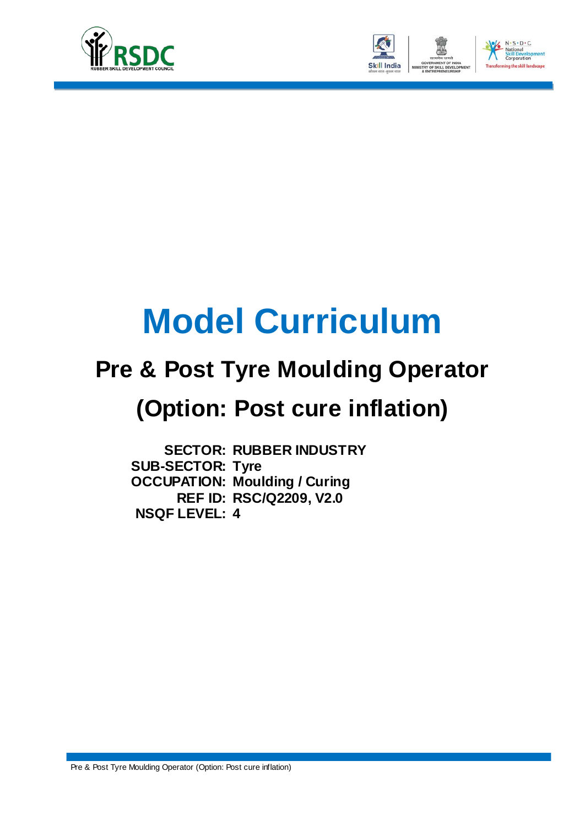



# **Model Curriculum**

## **Pre & Post Tyre Moulding Operator**

## **(Option: Post cure inflation)**

**SECTOR: RUBBER INDUSTRY SUB-SECTOR: Tyre OCCUPATION: Moulding / Curing REF ID: RSC/Q2209, V2.0 NSQF LEVEL: 4**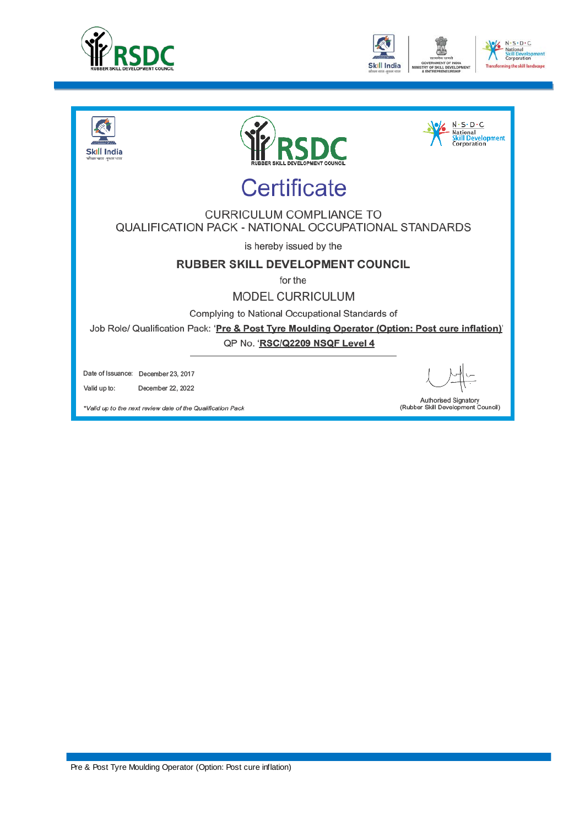





\*Valid up to the next review date of the Qualification Pack

Pre & Post Tyre Moulding Operator (Option: Post cure inflation)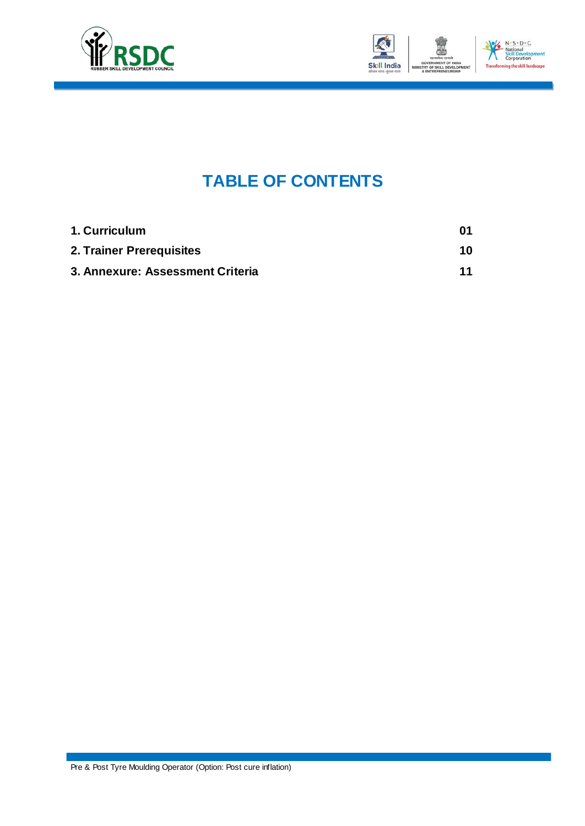



### **TABLE OF CONTENTS**

| 1. Curriculum                    | 01 |
|----------------------------------|----|
| 2. Trainer Prerequisites         | 10 |
| 3. Annexure: Assessment Criteria | 11 |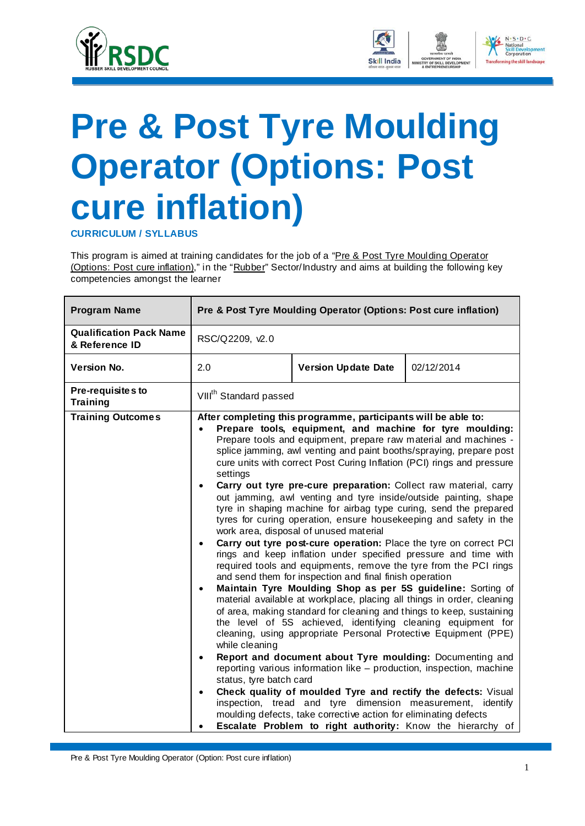<span id="page-3-0"></span>



**CURRICULUM / SYLLABUS**

This program is aimed at training candidates for the job of a "Pre & Post Tyre Moulding Operator" (Options: Post cure inflation)," in the "Rubber" Sector/Industry and aims at building the following key competencies amongst the learner

| <b>Program Name</b>                              |                                                                                                                                     | Pre & Post Tyre Moulding Operator (Options: Post cure inflation)                                                                                                                                                                                                                                                                                                                                                                                                                                                                                                                                                                                                                                                                                                                                                                                                                                                                                                                                                                                                                                                                                                                                                                                                                                                                                                                                                                                                                                                                                                                                                                                                                                             |            |
|--------------------------------------------------|-------------------------------------------------------------------------------------------------------------------------------------|--------------------------------------------------------------------------------------------------------------------------------------------------------------------------------------------------------------------------------------------------------------------------------------------------------------------------------------------------------------------------------------------------------------------------------------------------------------------------------------------------------------------------------------------------------------------------------------------------------------------------------------------------------------------------------------------------------------------------------------------------------------------------------------------------------------------------------------------------------------------------------------------------------------------------------------------------------------------------------------------------------------------------------------------------------------------------------------------------------------------------------------------------------------------------------------------------------------------------------------------------------------------------------------------------------------------------------------------------------------------------------------------------------------------------------------------------------------------------------------------------------------------------------------------------------------------------------------------------------------------------------------------------------------------------------------------------------------|------------|
| <b>Qualification Pack Name</b><br>& Reference ID | RSC/Q2209, v2.0                                                                                                                     |                                                                                                                                                                                                                                                                                                                                                                                                                                                                                                                                                                                                                                                                                                                                                                                                                                                                                                                                                                                                                                                                                                                                                                                                                                                                                                                                                                                                                                                                                                                                                                                                                                                                                                              |            |
| <b>Version No.</b>                               | 2.0                                                                                                                                 | <b>Version Update Date</b>                                                                                                                                                                                                                                                                                                                                                                                                                                                                                                                                                                                                                                                                                                                                                                                                                                                                                                                                                                                                                                                                                                                                                                                                                                                                                                                                                                                                                                                                                                                                                                                                                                                                                   | 02/12/2014 |
| Pre-requisites to<br><b>Training</b>             |                                                                                                                                     | VIII <sup>th</sup> Standard passed                                                                                                                                                                                                                                                                                                                                                                                                                                                                                                                                                                                                                                                                                                                                                                                                                                                                                                                                                                                                                                                                                                                                                                                                                                                                                                                                                                                                                                                                                                                                                                                                                                                                           |            |
| <b>Training Outcomes</b>                         | $\bullet$<br>settings<br>$\bullet$<br>$\bullet$<br>$\bullet$<br>while cleaning<br>$\bullet$<br>status, tyre batch card<br>$\bullet$ | After completing this programme, participants will be able to:<br>Prepare tools, equipment, and machine for tyre moulding:<br>Prepare tools and equipment, prepare raw material and machines -<br>splice jamming, awl venting and paint booths/spraying, prepare post<br>cure units with correct Post Curing Inflation (PCI) rings and pressure<br>Carry out tyre pre-cure preparation: Collect raw material, carry<br>out jamming, awl venting and tyre inside/outside painting, shape<br>tyre in shaping machine for airbag type curing, send the prepared<br>tyres for curing operation, ensure housekeeping and safety in the<br>work area, disposal of unused material<br>Carry out tyre post-cure operation: Place the tyre on correct PCI<br>rings and keep inflation under specified pressure and time with<br>required tools and equipments, remove the tyre from the PCI rings<br>and send them for inspection and final finish operation<br>Maintain Tyre Moulding Shop as per 5S guideline: Sorting of<br>material available at workplace, placing all things in order, cleaning<br>of area, making standard for cleaning and things to keep, sustaining<br>the level of 5S achieved, identifying cleaning equipment for<br>cleaning, using appropriate Personal Protective Equipment (PPE)<br>Report and document about Tyre moulding: Documenting and<br>reporting various information like - production, inspection, machine<br>Check quality of moulded Tyre and rectify the defects: Visual<br>inspection, tread and tyre dimension measurement, identify<br>moulding defects, take corrective action for eliminating defects<br>Escalate Problem to right authority: Know the hierarchy of |            |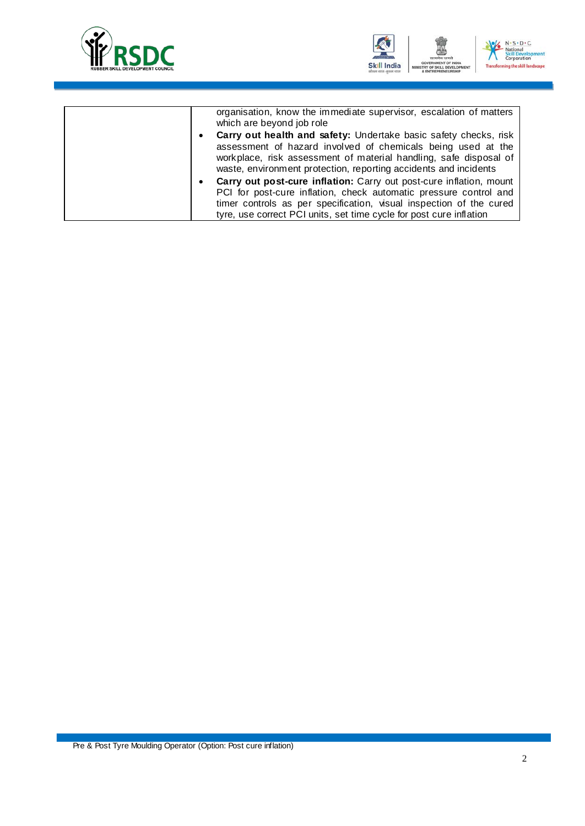



| organisation, know the immediate supervisor, escalation of matters<br>which are beyond job role                                                                                                                      |
|----------------------------------------------------------------------------------------------------------------------------------------------------------------------------------------------------------------------|
| Carry out health and safety: Undertake basic safety checks, risk<br>$\bullet$                                                                                                                                        |
| assessment of hazard involved of chemicals being used at the<br>workplace, risk assessment of material handling, safe disposal of<br>waste, environment protection, reporting accidents and incidents                |
| Carry out post-cure inflation: Carry out post-cure inflation, mount<br>٠<br>PCI for post-cure inflation, check automatic pressure control and<br>timer controls as per specification, visual inspection of the cured |
| tyre, use correct PCI units, set time cycle for post cure inflation                                                                                                                                                  |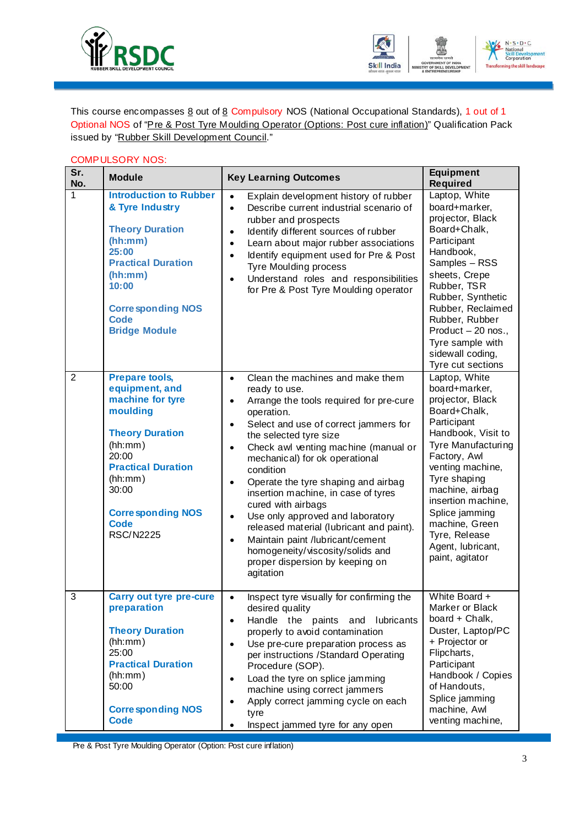



This course encompasses  $8$  out of  $8$  Compulsory NOS (National Occupational Standards), 1 out of 1 Optional NOS of "Pre & Post Tyre Moulding Operator (Options: Post cure inflation)" Qualification Pack issued by "Rubber Skill Development Council."

### COMPULSORY NOS:

| Sr.<br>No.     | <b>Module</b>                                                                                                                                                                                                                         | <b>Key Learning Outcomes</b>                                                                                                                                                                                                                                                                                                                                                                                                                                                                                                                                                                                                                                                | <b>Equipment</b><br><b>Required</b>                                                                                                                                                                                                                                                                                            |
|----------------|---------------------------------------------------------------------------------------------------------------------------------------------------------------------------------------------------------------------------------------|-----------------------------------------------------------------------------------------------------------------------------------------------------------------------------------------------------------------------------------------------------------------------------------------------------------------------------------------------------------------------------------------------------------------------------------------------------------------------------------------------------------------------------------------------------------------------------------------------------------------------------------------------------------------------------|--------------------------------------------------------------------------------------------------------------------------------------------------------------------------------------------------------------------------------------------------------------------------------------------------------------------------------|
| 1              | <b>Introduction to Rubber</b><br>& Tyre Industry<br><b>Theory Duration</b><br>(hh:mm)<br>25:00<br><b>Practical Duration</b><br>(hh:mm)<br>10:00<br><b>Corresponding NOS</b><br>Code<br><b>Bridge Module</b>                           | Explain development history of rubber<br>$\bullet$<br>Describe current industrial scenario of<br>$\bullet$<br>rubber and prospects<br>Identify different sources of rubber<br>$\bullet$<br>Learn about major rubber associations<br>$\bullet$<br>Identify equipment used for Pre & Post<br>$\bullet$<br>Tyre Moulding process<br>Understand roles and responsibilities<br>$\bullet$<br>for Pre & Post Tyre Moulding operator                                                                                                                                                                                                                                                | Laptop, White<br>board+marker,<br>projector, Black<br>Board+Chalk,<br>Participant<br>Handbook,<br>Samples - RSS<br>sheets, Crepe<br>Rubber, TSR<br>Rubber, Synthetic<br>Rubber, Reclaimed<br>Rubber, Rubber<br>Product - 20 nos.,<br>Tyre sample with<br>sidewall coding,<br>Tyre cut sections                                 |
| $\overline{2}$ | <b>Prepare tools,</b><br>equipment, and<br>machine for tyre<br>moulding<br><b>Theory Duration</b><br>(hh:mm)<br>20:00<br><b>Practical Duration</b><br>(hh:mm)<br>30:00<br><b>Corresponding NOS</b><br><b>Code</b><br><b>RSC/N2225</b> | Clean the machines and make them<br>$\bullet$<br>ready to use.<br>Arrange the tools required for pre-cure<br>$\bullet$<br>operation.<br>Select and use of correct jammers for<br>$\bullet$<br>the selected tyre size<br>Check awl venting machine (manual or<br>$\bullet$<br>mechanical) for ok operational<br>condition<br>Operate the tyre shaping and airbag<br>$\bullet$<br>insertion machine, in case of tyres<br>cured with airbags<br>Use only approved and laboratory<br>$\bullet$<br>released material (lubricant and paint).<br>Maintain paint /lubricant/cement<br>$\bullet$<br>homogeneity/viscosity/solids and<br>proper dispersion by keeping on<br>agitation | Laptop, White<br>board+marker,<br>projector, Black<br>Board+Chalk,<br>Participant<br>Handbook, Visit to<br><b>Tyre Manufacturing</b><br>Factory, Awl<br>venting machine,<br>Tyre shaping<br>machine, airbag<br>insertion machine,<br>Splice jamming<br>machine, Green<br>Tyre, Release<br>Agent, lubricant,<br>paint, agitator |
| 3              | <b>Carry out tyre pre-cure</b><br>preparation<br><b>Theory Duration</b><br>(hh:mm)<br>25:00<br><b>Practical Duration</b><br>(hh:mm)<br>50:00<br><b>Corresponding NOS</b><br><b>Code</b>                                               | Inspect tyre visually for confirming the<br>$\bullet$<br>desired quality<br>Handle the paints<br>lubricants<br>and<br>$\bullet$<br>properly to avoid contamination<br>Use pre-cure preparation process as<br>$\bullet$<br>per instructions /Standard Operating<br>Procedure (SOP).<br>Load the tyre on splice jamming<br>$\bullet$<br>machine using correct jammers<br>Apply correct jamming cycle on each<br>tyre<br>Inspect jammed tyre for any open                                                                                                                                                                                                                      | White Board +<br>Marker or Black<br>board + Chalk,<br>Duster, Laptop/PC<br>+ Projector or<br>Flipcharts,<br>Participant<br>Handbook / Copies<br>of Handouts,<br>Splice jamming<br>machine, Awl<br>venting machine,                                                                                                             |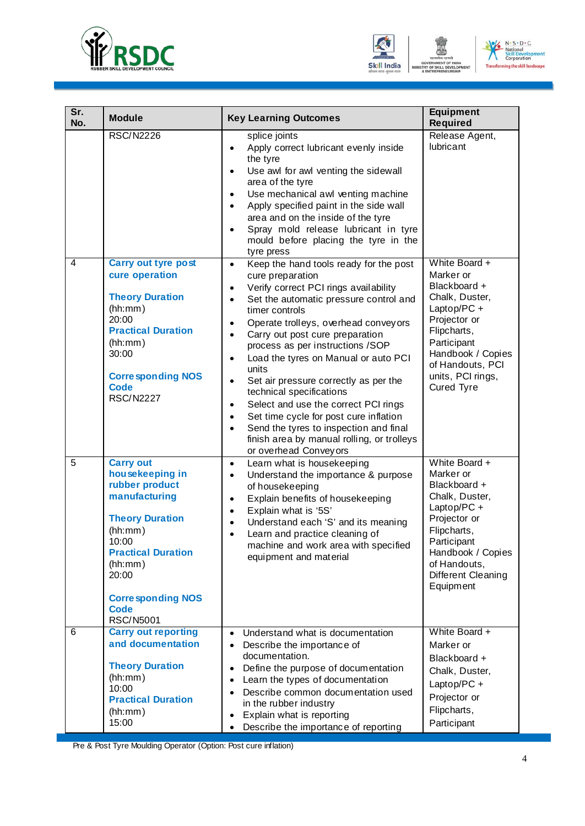



| Sr.<br>No.     | <b>Module</b>                                                                                                                                                                                                                        | <b>Key Learning Outcomes</b>                                                                                                                                                                                                                                                                                                                                                                                                                                                                                                                                                                                                                                                                                                              | <b>Equipment</b><br><b>Required</b>                                                                                                                                                                  |
|----------------|--------------------------------------------------------------------------------------------------------------------------------------------------------------------------------------------------------------------------------------|-------------------------------------------------------------------------------------------------------------------------------------------------------------------------------------------------------------------------------------------------------------------------------------------------------------------------------------------------------------------------------------------------------------------------------------------------------------------------------------------------------------------------------------------------------------------------------------------------------------------------------------------------------------------------------------------------------------------------------------------|------------------------------------------------------------------------------------------------------------------------------------------------------------------------------------------------------|
|                | <b>RSC/N2226</b>                                                                                                                                                                                                                     | splice joints<br>Apply correct lubricant evenly inside<br>$\bullet$<br>the tyre<br>Use awl for awl venting the sidewall<br>$\bullet$<br>area of the tyre<br>Use mechanical awl venting machine<br>$\bullet$<br>Apply specified paint in the side wall<br>$\bullet$<br>area and on the inside of the tyre<br>Spray mold release lubricant in tyre<br>$\bullet$<br>mould before placing the tyre in the<br>tyre press                                                                                                                                                                                                                                                                                                                       | Release Agent,<br>lubricant                                                                                                                                                                          |
| $\overline{4}$ | <b>Carry out tyre post</b><br>cure operation<br><b>Theory Duration</b><br>(hh:mm)<br>20:00<br><b>Practical Duration</b><br>(hh:mm)<br>30:00<br><b>Corresponding NOS</b><br><b>Code</b><br><b>RSC/N2227</b>                           | Keep the hand tools ready for the post<br>$\bullet$<br>cure preparation<br>Verify correct PCI rings availability<br>$\bullet$<br>Set the automatic pressure control and<br>$\bullet$<br>timer controls<br>Operate trolleys, overhead conveyors<br>$\bullet$<br>Carry out post cure preparation<br>$\bullet$<br>process as per instructions /SOP<br>Load the tyres on Manual or auto PCI<br>$\bullet$<br>units<br>Set air pressure correctly as per the<br>$\bullet$<br>technical specifications<br>Select and use the correct PCI rings<br>$\bullet$<br>Set time cycle for post cure inflation<br>$\bullet$<br>Send the tyres to inspection and final<br>$\bullet$<br>finish area by manual rolling, or trolleys<br>or overhead Conveyors | White Board +<br>Marker or<br>Blackboard +<br>Chalk, Duster,<br>Laptop/PC+<br>Projector or<br>Flipcharts,<br>Participant<br>Handbook / Copies<br>of Handouts, PCI<br>units, PCI rings,<br>Cured Tyre |
| 5              | <b>Carry out</b><br>housekeeping in<br>rubber product<br>manufacturing<br><b>Theory Duration</b><br>(hh:mm)<br>10:00<br><b>Practical Duration</b><br>(hh:mm)<br>20:00<br><b>Corresponding NOS</b><br><b>Code</b><br><b>RSC/N5001</b> | Learn what is housekeeping<br>$\bullet$<br>Understand the importance & purpose<br>$\bullet$<br>of housekeeping<br>Explain benefits of housekeeping<br>$\bullet$<br>Explain what is '5S'<br>$\bullet$<br>Understand each 'S' and its meaning<br>Learn and practice cleaning of<br>machine and work area with specified<br>equipment and material                                                                                                                                                                                                                                                                                                                                                                                           | White Board +<br>Marker or<br>Blackboard +<br>Chalk, Duster,<br>Laptop/PC+<br>Projector or<br>Flipcharts,<br>Participant<br>Handbook / Copies<br>of Handouts,<br>Different Cleaning<br>Equipment     |
| 6              | <b>Carry out reporting</b><br>and documentation<br><b>Theory Duration</b><br>(hh:mm)<br>10:00<br><b>Practical Duration</b><br>(hh:mm)<br>15:00                                                                                       | Understand what is documentation<br>$\bullet$<br>Describe the importance of<br>$\bullet$<br>documentation.<br>Define the purpose of documentation<br>$\bullet$<br>Learn the types of documentation<br>$\bullet$<br>Describe common documentation used<br>$\bullet$<br>in the rubber industry<br>Explain what is reporting<br>$\bullet$<br>Describe the importance of reporting<br>$\bullet$                                                                                                                                                                                                                                                                                                                                               | White Board +<br>Marker or<br>Blackboard +<br>Chalk, Duster,<br>Laptop/PC+<br>Projector or<br>Flipcharts,<br>Participant                                                                             |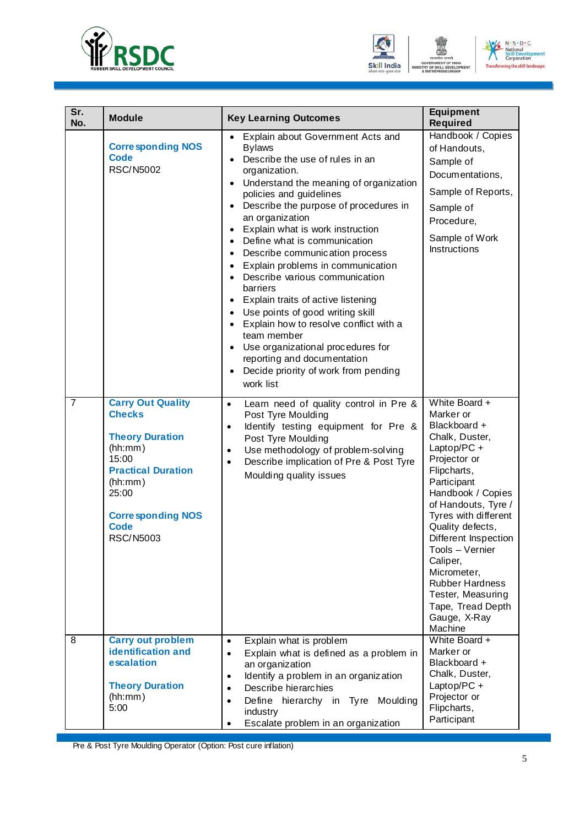



| Sr.<br>No.     | <b>Module</b>                                                                                                                                                                                           | <b>Key Learning Outcomes</b>                                                                                                                                                                                                                                                                                                                                                                                                                                                                                                                                                                                                                                                                                                                                                                                                                                                       | <b>Equipment</b><br><b>Required</b>                                                                                                                                                                                                                                                                                                                                                    |
|----------------|---------------------------------------------------------------------------------------------------------------------------------------------------------------------------------------------------------|------------------------------------------------------------------------------------------------------------------------------------------------------------------------------------------------------------------------------------------------------------------------------------------------------------------------------------------------------------------------------------------------------------------------------------------------------------------------------------------------------------------------------------------------------------------------------------------------------------------------------------------------------------------------------------------------------------------------------------------------------------------------------------------------------------------------------------------------------------------------------------|----------------------------------------------------------------------------------------------------------------------------------------------------------------------------------------------------------------------------------------------------------------------------------------------------------------------------------------------------------------------------------------|
|                | <b>Corresponding NOS</b><br><b>Code</b><br><b>RSC/N5002</b>                                                                                                                                             | Explain about Government Acts and<br>$\bullet$<br><b>Bylaws</b><br>Describe the use of rules in an<br>$\bullet$<br>organization.<br>Understand the meaning of organization<br>$\bullet$<br>policies and guidelines<br>Describe the purpose of procedures in<br>$\bullet$<br>an organization<br>Explain what is work instruction<br>$\bullet$<br>Define what is communication<br>$\bullet$<br>Describe communication process<br>$\bullet$<br>Explain problems in communication<br>$\bullet$<br>Describe various communication<br>$\bullet$<br>barriers<br>Explain traits of active listening<br>$\bullet$<br>Use points of good writing skill<br>$\bullet$<br>Explain how to resolve conflict with a<br>$\bullet$<br>team member<br>Use organizational procedures for<br>$\bullet$<br>reporting and documentation<br>Decide priority of work from pending<br>$\bullet$<br>work list | Handbook / Copies<br>of Handouts,<br>Sample of<br>Documentations,<br>Sample of Reports,<br>Sample of<br>Procedure,<br>Sample of Work<br>Instructions                                                                                                                                                                                                                                   |
| $\overline{7}$ | <b>Carry Out Quality</b><br><b>Checks</b><br><b>Theory Duration</b><br>(hh:mm)<br>15:00<br><b>Practical Duration</b><br>(hh:mm)<br>25:00<br><b>Corresponding NOS</b><br><b>Code</b><br><b>RSC/N5003</b> | Learn need of quality control in Pre &<br>$\bullet$<br>Post Tyre Moulding<br>Identify testing equipment for Pre &<br>$\bullet$<br>Post Tyre Moulding<br>Use methodology of problem-solving<br>$\bullet$<br>Describe implication of Pre & Post Tyre<br>$\bullet$<br>Moulding quality issues                                                                                                                                                                                                                                                                                                                                                                                                                                                                                                                                                                                         | White Board +<br>Marker or<br>Blackboard +<br>Chalk, Duster,<br>Laptop/PC +<br>Projector or<br>Flipcharts,<br>Participant<br>Handbook / Copies<br>of Handouts, Tyre /<br>Tyres with different<br>Quality defects,<br>Different Inspection<br>Tools - Vernier<br>Caliper,<br>Micrometer,<br><b>Rubber Hardness</b><br>Tester, Measuring<br>Tape, Tread Depth<br>Gauge, X-Ray<br>Machine |
| 8              | <b>Carry out problem</b><br><b>identification and</b><br>escalation<br><b>Theory Duration</b><br>(hh:mm)<br>5:00                                                                                        | Explain what is problem<br>$\bullet$<br>Explain what is defined as a problem in<br>$\bullet$<br>an organization<br>Identify a problem in an organization<br>$\bullet$<br>Describe hierarchies<br>$\bullet$<br>Define hierarchy in Tyre<br>Moulding<br>$\bullet$<br>industry<br>Escalate problem in an organization<br>$\bullet$                                                                                                                                                                                                                                                                                                                                                                                                                                                                                                                                                    | White Board +<br>Marker or<br>Blackboard +<br>Chalk, Duster,<br>Laptop/PC +<br>Projector or<br>Flipcharts,<br>Participant                                                                                                                                                                                                                                                              |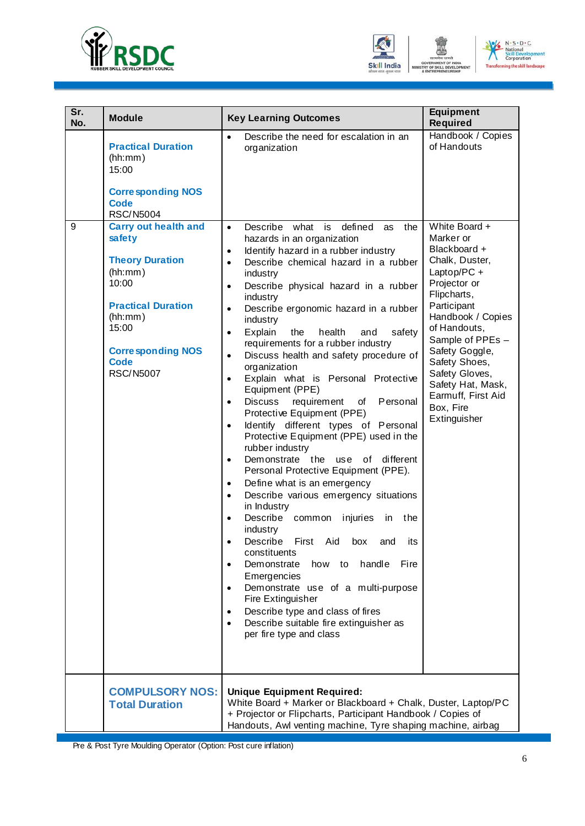

**Module Key Learning Outcomes** 

**Sr.** 



|              | <b>Equipment</b><br><b>Required</b> |
|--------------|-------------------------------------|
| lation in an | Handbook / Copies<br>of Handouts    |

|   | <b>Practical Duration</b><br>(hh:mm)<br>15:00<br><b>Corresponding NOS</b><br><b>Code</b><br><b>RSC/N5004</b>                                                                                        | Describe the need for escalation in an<br>$\bullet$<br>organization                                                                                                                                                                                                                                                                                                                                                                                                                                                                                                                                                                                                                                                                                                                                                                                                                                                                                                                                                                                                                                                                                                                                                                                                                                                                                                                                               | Handbook / Copies<br>of Handouts                                                                                                                                                                                                                                                                                |
|---|-----------------------------------------------------------------------------------------------------------------------------------------------------------------------------------------------------|-------------------------------------------------------------------------------------------------------------------------------------------------------------------------------------------------------------------------------------------------------------------------------------------------------------------------------------------------------------------------------------------------------------------------------------------------------------------------------------------------------------------------------------------------------------------------------------------------------------------------------------------------------------------------------------------------------------------------------------------------------------------------------------------------------------------------------------------------------------------------------------------------------------------------------------------------------------------------------------------------------------------------------------------------------------------------------------------------------------------------------------------------------------------------------------------------------------------------------------------------------------------------------------------------------------------------------------------------------------------------------------------------------------------|-----------------------------------------------------------------------------------------------------------------------------------------------------------------------------------------------------------------------------------------------------------------------------------------------------------------|
| 9 | <b>Carry out health and</b><br>safety<br><b>Theory Duration</b><br>(hh:mm)<br>10:00<br><b>Practical Duration</b><br>(hh:mm)<br>15:00<br><b>Corresponding NOS</b><br><b>Code</b><br><b>RSC/N5007</b> | Describe<br>what is<br>defined<br>the<br>$\bullet$<br>as<br>hazards in an organization<br>Identify hazard in a rubber industry<br>$\bullet$<br>Describe chemical hazard in a rubber<br>$\bullet$<br>industry<br>Describe physical hazard in a rubber<br>$\bullet$<br>industry<br>Describe ergonomic hazard in a rubber<br>$\bullet$<br>industry<br>Explain<br>health<br>the<br>safety<br>and<br>$\bullet$<br>requirements for a rubber industry<br>Discuss health and safety procedure of<br>$\bullet$<br>organization<br>Explain what is Personal Protective<br>$\bullet$<br>Equipment (PPE)<br><b>Discuss</b><br>requirement<br>of<br>Personal<br>$\bullet$<br>Protective Equipment (PPE)<br>Identify different types of Personal<br>$\bullet$<br>Protective Equipment (PPE) used in the<br>rubber industry<br>Demonstrate the use<br>different<br>of<br>$\bullet$<br>Personal Protective Equipment (PPE).<br>Define what is an emergency<br>$\bullet$<br>Describe various emergency situations<br>$\bullet$<br>in Industry<br>Describe<br>injuries<br>common<br>in<br>the<br>$\bullet$<br>industry<br>Describe<br>Aid<br>First<br>box<br>its<br>and<br>$\bullet$<br>constituents<br>handle<br>Fire<br>Demonstrate<br>how to<br>Emergencies<br>Demonstrate use of a multi-purpose<br>Fire Extinguisher<br>Describe type and class of fires<br>Describe suitable fire extinguisher as<br>per fire type and class | White Board +<br>Marker or<br>Blackboard +<br>Chalk, Duster,<br>Laptop/PC +<br>Projector or<br>Flipcharts,<br>Participant<br>Handbook / Copies<br>of Handouts,<br>Sample of PPEs -<br>Safety Goggle,<br>Safety Shoes,<br>Safety Gloves,<br>Safety Hat, Mask,<br>Earmuff, First Aid<br>Box, Fire<br>Extinguisher |
|   | <b>COMPULSORY NOS:</b><br><b>Total Duration</b>                                                                                                                                                     | <b>Unique Equipment Required:</b><br>White Board + Marker or Blackboard + Chalk, Duster, Laptop/PC<br>+ Projector or Flipcharts, Participant Handbook / Copies of<br>Handouts, Awl venting machine, Tyre shaping machine, airbag                                                                                                                                                                                                                                                                                                                                                                                                                                                                                                                                                                                                                                                                                                                                                                                                                                                                                                                                                                                                                                                                                                                                                                                  |                                                                                                                                                                                                                                                                                                                 |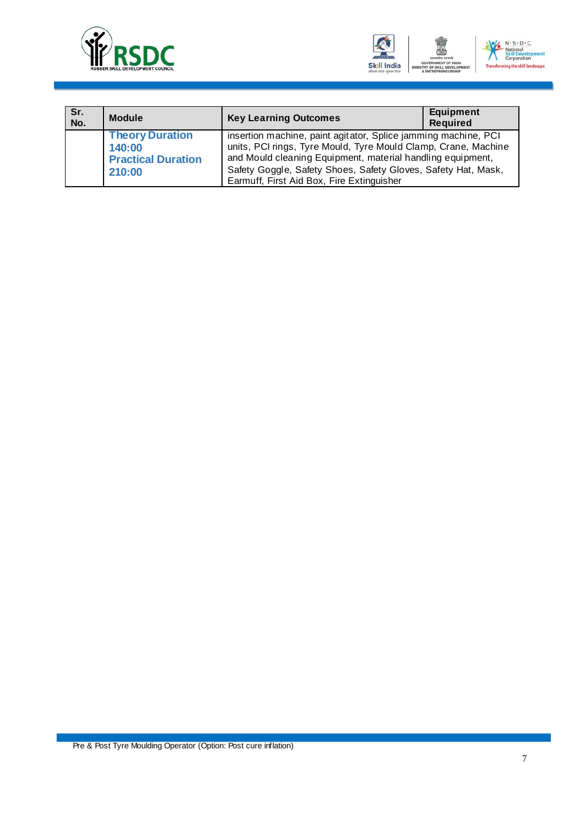



| Sr.<br>No. | <b>Module</b>                                                           | <b>Key Learning Outcomes</b>                                                                                                                                                                                                                                                                                 | <b>Equipment</b><br><b>Required</b> |
|------------|-------------------------------------------------------------------------|--------------------------------------------------------------------------------------------------------------------------------------------------------------------------------------------------------------------------------------------------------------------------------------------------------------|-------------------------------------|
|            | <b>Theory Duration</b><br>140:00<br><b>Practical Duration</b><br>210:00 | insertion machine, paint agitator, Splice jamming machine, PCI<br>units, PCI rings, Tyre Mould, Tyre Mould Clamp, Crane, Machine<br>and Mould cleaning Equipment, material handling equipment,<br>Safety Goggle, Safety Shoes, Safety Gloves, Safety Hat, Mask,<br>Earmuff, First Aid Box, Fire Extinguisher |                                     |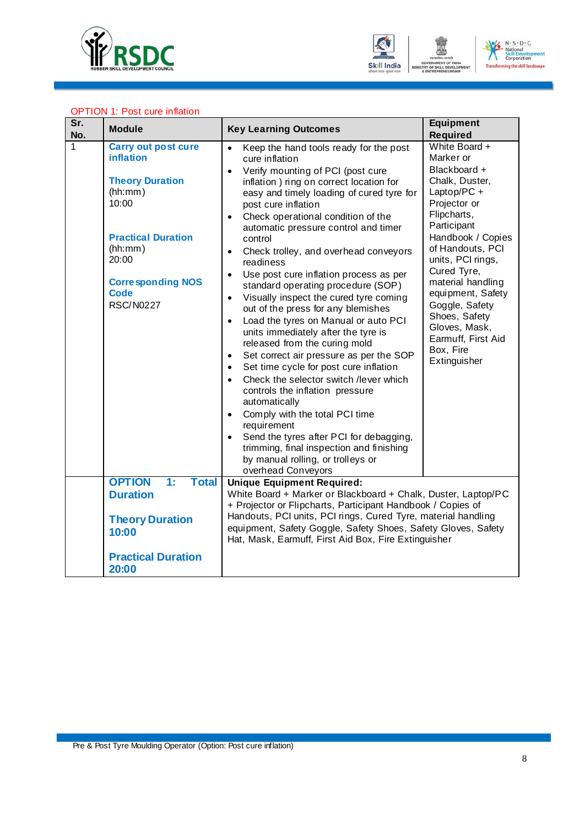



### OPTION 1: Post cure inflation

| Sr.<br>No. | <b>Module</b>                                                                                                                                                                                                | <b>Key Learning Outcomes</b>                                                                                                                                                                                                                                                                                                                                                                                                                                                                                                                                                                                                                                                                                                                                                                                                                                                                                                                                                                                                                                                                                                                                                                  | Equipment<br><b>Required</b>                                                                                                                                                                                                                                                                                                                           |
|------------|--------------------------------------------------------------------------------------------------------------------------------------------------------------------------------------------------------------|-----------------------------------------------------------------------------------------------------------------------------------------------------------------------------------------------------------------------------------------------------------------------------------------------------------------------------------------------------------------------------------------------------------------------------------------------------------------------------------------------------------------------------------------------------------------------------------------------------------------------------------------------------------------------------------------------------------------------------------------------------------------------------------------------------------------------------------------------------------------------------------------------------------------------------------------------------------------------------------------------------------------------------------------------------------------------------------------------------------------------------------------------------------------------------------------------|--------------------------------------------------------------------------------------------------------------------------------------------------------------------------------------------------------------------------------------------------------------------------------------------------------------------------------------------------------|
| 1          | <b>Carry out post cure</b><br><b>inflation</b><br><b>Theory Duration</b><br>(hh:mm)<br>10:00<br><b>Practical Duration</b><br>(hh:mm)<br>20:00<br><b>Corresponding NOS</b><br><b>Code</b><br><b>RSC/N0227</b> | Keep the hand tools ready for the post<br>$\bullet$<br>cure inflation<br>Verify mounting of PCI (post cure<br>$\bullet$<br>inflation) ring on correct location for<br>easy and timely loading of cured tyre for<br>post cure inflation<br>Check operational condition of the<br>$\bullet$<br>automatic pressure control and timer<br>control<br>Check trolley, and overhead conveyors<br>$\bullet$<br>readiness<br>Use post cure inflation process as per<br>$\bullet$<br>standard operating procedure (SOP)<br>Visually inspect the cured tyre coming<br>$\bullet$<br>out of the press for any blemishes<br>Load the tyres on Manual or auto PCI<br>$\bullet$<br>units immediately after the tyre is<br>released from the curing mold<br>Set correct air pressure as per the SOP<br>$\bullet$<br>Set time cycle for post cure inflation<br>$\bullet$<br>Check the selector switch /lever which<br>$\bullet$<br>controls the inflation pressure<br>automatically<br>Comply with the total PCI time<br>$\bullet$<br>requirement<br>Send the tyres after PCI for debagging,<br>$\bullet$<br>trimming, final inspection and finishing<br>by manual rolling, or trolleys or<br>overhead Conveyors | White Board +<br>Marker or<br>Blackboard +<br>Chalk, Duster,<br>Laptop/PC+<br>Projector or<br>Flipcharts,<br>Participant<br>Handbook / Copies<br>of Handouts, PCI<br>units, PCI rings,<br>Cured Tyre,<br>material handling<br>equipment, Safety<br>Goggle, Safety<br>Shoes, Safety<br>Gloves, Mask,<br>Earmuff, First Aid<br>Box, Fire<br>Extinguisher |
|            | <b>OPTION</b><br>$\ddagger$ :<br><b>Total</b><br><b>Duration</b><br><b>Theory Duration</b><br>10:00<br><b>Practical Duration</b><br>20:00                                                                    | <b>Unique Equipment Required:</b><br>White Board + Marker or Blackboard + Chalk, Duster, Laptop/PC<br>+ Projector or Flipcharts, Participant Handbook / Copies of<br>Handouts, PCI units, PCI rings, Cured Tyre, material handling<br>equipment, Safety Goggle, Safety Shoes, Safety Gloves, Safety<br>Hat, Mask, Earmuff, First Aid Box, Fire Extinguisher                                                                                                                                                                                                                                                                                                                                                                                                                                                                                                                                                                                                                                                                                                                                                                                                                                   |                                                                                                                                                                                                                                                                                                                                                        |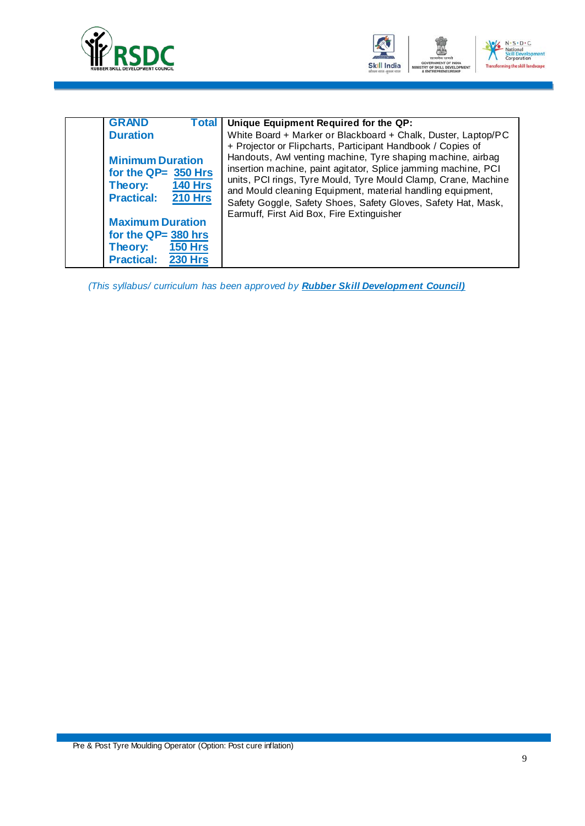



| <b>GRAND</b><br>Total I                                            | Unique Equipment Required for the QP:                                                                                                                                                                                                                                                                                           |
|--------------------------------------------------------------------|---------------------------------------------------------------------------------------------------------------------------------------------------------------------------------------------------------------------------------------------------------------------------------------------------------------------------------|
| <b>Duration</b><br><b>Minimum Duration</b><br>for the $QP=350$ Hrs | White Board + Marker or Blackboard + Chalk, Duster, Laptop/PC<br>+ Projector or Flipcharts, Participant Handbook / Copies of<br>Handouts, Awl venting machine, Tyre shaping machine, airbag<br>insertion machine, paint agitator, Splice jamming machine, PCI<br>units, PCI rings, Tyre Mould, Tyre Mould Clamp, Crane, Machine |
| <b>140 Hrs</b><br>Theory:<br><b>210 Hrs</b><br><b>Practical:</b>   | and Mould cleaning Equipment, material handling equipment,<br>Safety Goggle, Safety Shoes, Safety Gloves, Safety Hat, Mask,<br>Earmuff, First Aid Box, Fire Extinguisher                                                                                                                                                        |
| <b>Maximum Duration</b>                                            |                                                                                                                                                                                                                                                                                                                                 |
| for the $QP=380$ hrs                                               |                                                                                                                                                                                                                                                                                                                                 |
| <b>150 Hrs</b><br>Theory:                                          |                                                                                                                                                                                                                                                                                                                                 |
| <b>230 Hrs</b><br><b>Practical:</b>                                |                                                                                                                                                                                                                                                                                                                                 |

*(This syllabus/ curriculum has been approved by Rubber Skill Development Council)*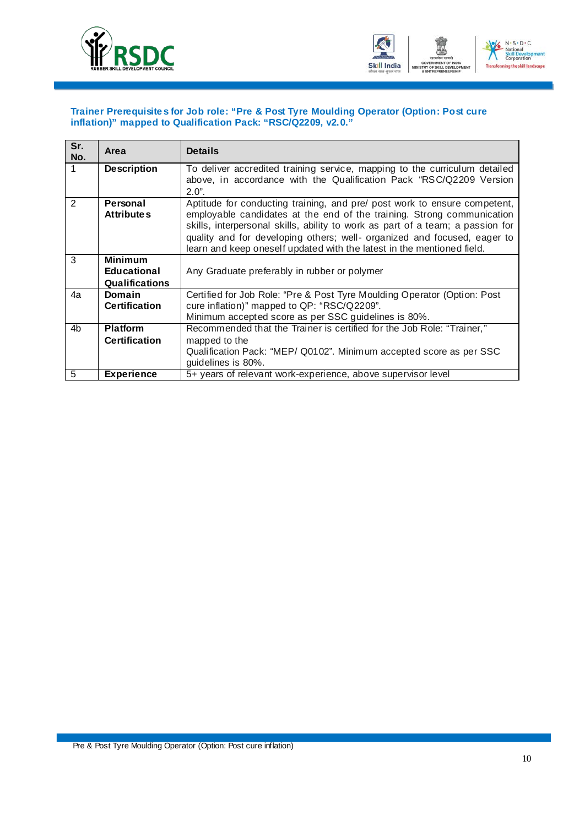<span id="page-12-0"></span>



### **Trainer Prerequisites for Job role: "Pre & Post Tyre Moulding Operator (Option: Post cure inflation)" mapped to Qualification Pack: "RSC/Q2209, v2.0."**

| Sr.<br>No.     | Area                                                          | <b>Details</b>                                                                                                                                                                                                                                                                                                                                                                              |
|----------------|---------------------------------------------------------------|---------------------------------------------------------------------------------------------------------------------------------------------------------------------------------------------------------------------------------------------------------------------------------------------------------------------------------------------------------------------------------------------|
|                | <b>Description</b>                                            | To deliver accredited training service, mapping to the curriculum detailed<br>above, in accordance with the Qualification Pack "RSC/Q2209 Version<br>$2.0$ ".                                                                                                                                                                                                                               |
| $\overline{2}$ | Personal<br><b>Attributes</b>                                 | Aptitude for conducting training, and pre/ post work to ensure competent,<br>employable candidates at the end of the training. Strong communication<br>skills, interpersonal skills, ability to work as part of a team; a passion for<br>quality and for developing others; well- organized and focused, eager to<br>learn and keep oneself updated with the latest in the mentioned field. |
| 3              | <b>Minimum</b><br><b>Educational</b><br><b>Qualifications</b> | Any Graduate preferably in rubber or polymer                                                                                                                                                                                                                                                                                                                                                |
| 4a             | Domain<br><b>Certification</b>                                | Certified for Job Role: "Pre & Post Tyre Moulding Operator (Option: Post<br>cure inflation)" mapped to QP: "RSC/Q2209".<br>Minimum accepted score as per SSC guidelines is 80%.                                                                                                                                                                                                             |
| 4b             | <b>Platform</b><br><b>Certification</b>                       | Recommended that the Trainer is certified for the Job Role: "Trainer,"<br>mapped to the<br>Qualification Pack: "MEP/ Q0102". Minimum accepted score as per SSC<br>guidelines is 80%.                                                                                                                                                                                                        |
| 5              | <b>Experience</b>                                             | 5+ years of relevant work-experience, above supervisor level                                                                                                                                                                                                                                                                                                                                |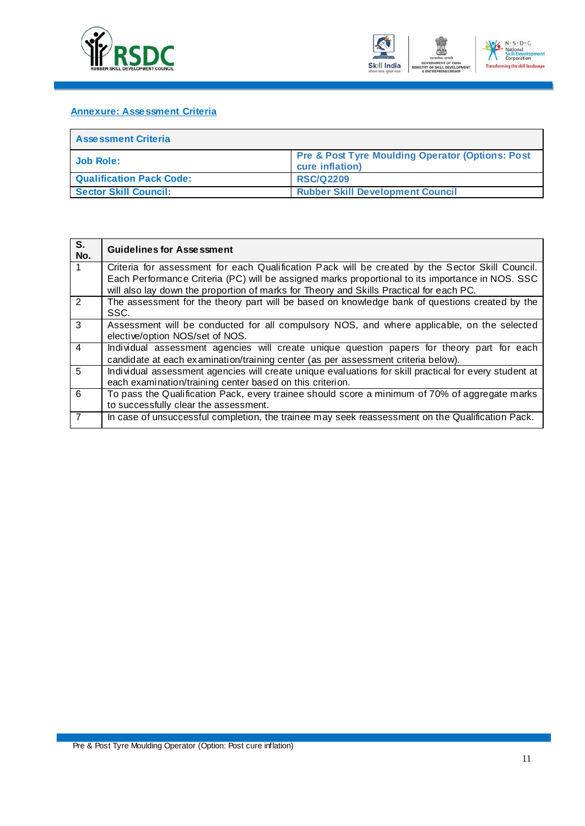<span id="page-13-0"></span>



### **Annexure: Assessment Criteria**

| <b>Assessment Criteria</b>      |                                                                                |  |  |  |  |  |
|---------------------------------|--------------------------------------------------------------------------------|--|--|--|--|--|
| Job Role:                       | <b>Pre &amp; Post Tyre Moulding Operator (Options: Post</b><br>cure inflation) |  |  |  |  |  |
| <b>Qualification Pack Code:</b> | <b>RSC/Q2209</b>                                                               |  |  |  |  |  |
| <b>Sector Skill Council:</b>    | <b>Rubber Skill Development Council</b>                                        |  |  |  |  |  |

| S.<br>No.      | <b>Guidelines for Assessment</b>                                                                                                                                                                     |
|----------------|------------------------------------------------------------------------------------------------------------------------------------------------------------------------------------------------------|
| $\overline{1}$ | Criteria for assessment for each Qualification Pack will be created by the Sector Skill Council.<br>Each Performance Criteria (PC) will be assigned marks proportional to its importance in NOS. SSC |
|                | will also lay down the proportion of marks for Theory and Skills Practical for each PC.                                                                                                              |
| 2              | The assessment for the theory part will be based on knowledge bank of questions created by the<br>SSC.                                                                                               |
| $\overline{3}$ | Assessment will be conducted for all compulsory NOS, and where applicable, on the selected<br>elective/option NOS/set of NOS.                                                                        |
| $\overline{4}$ | Individual assessment agencies will create unique question papers for theory part for each<br>candidate at each examination/training center (as per assessment criteria below).                      |
| 5              | Individual assessment agencies will create unique evaluations for skill practical for every student at<br>each examination/training center based on this criterion.                                  |
| 6              | To pass the Qualification Pack, every trainee should score a minimum of 70% of aggregate marks<br>to successfully clear the assessment.                                                              |
| $\overline{7}$ | In case of unsuccessful completion, the trainee may seek reassessment on the Qualification Pack.                                                                                                     |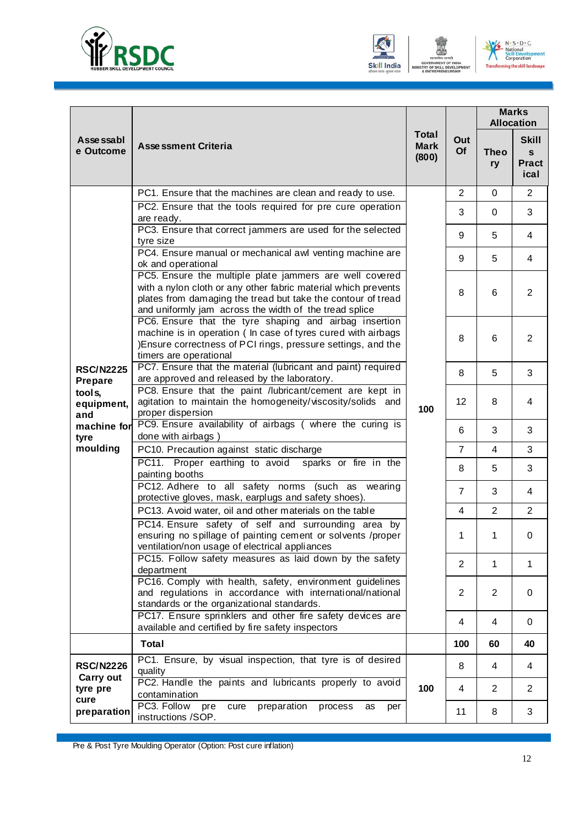





|                               |                                                                                                                                                                                                                                                     |                                      |                | <b>Marks</b><br><b>Allocation</b> |                                                      |
|-------------------------------|-----------------------------------------------------------------------------------------------------------------------------------------------------------------------------------------------------------------------------------------------------|--------------------------------------|----------------|-----------------------------------|------------------------------------------------------|
| Asse ssabl<br>e Outcome       | <b>Assessment Criteria</b>                                                                                                                                                                                                                          | <b>Total</b><br><b>Mark</b><br>(800) | Out<br>Of      | <b>Theo</b><br>ry                 | <b>Skill</b><br>$\mathbf{s}$<br><b>Pract</b><br>ical |
|                               | PC1. Ensure that the machines are clean and ready to use.                                                                                                                                                                                           |                                      | 2              | $\mathbf 0$                       | $\overline{2}$                                       |
|                               | PC2. Ensure that the tools required for pre cure operation<br>are ready.                                                                                                                                                                            |                                      | 3              | 0                                 | 3                                                    |
|                               | PC3. Ensure that correct jammers are used for the selected<br>tyre size                                                                                                                                                                             |                                      | 9              | 5                                 | 4                                                    |
|                               | PC4. Ensure manual or mechanical awl venting machine are<br>ok and operational                                                                                                                                                                      |                                      | 9              | 5                                 | 4                                                    |
|                               | PC5. Ensure the multiple plate jammers are well covered<br>with a nylon cloth or any other fabric material which prevents<br>plates from damaging the tread but take the contour of tread<br>and uniformly jam across the width of the tread splice |                                      | 8              | 6                                 | $\overline{2}$                                       |
|                               | PC6. Ensure that the tyre shaping and airbag insertion<br>machine is in operation ( In case of tyres cured with airbags<br>)Ensure correctness of PCI rings, pressure settings, and the<br>timers are operational                                   | 100                                  | 8              | 6                                 | $\overline{2}$                                       |
| <b>RSC/N2225</b><br>Prepare   | PC7. Ensure that the material (lubricant and paint) required<br>are approved and released by the laboratory.                                                                                                                                        |                                      | 8              | 5                                 | 3                                                    |
| tools,<br>equipment,<br>and   | PC8. Ensure that the paint /lubricant/cement are kept in<br>agitation to maintain the homogeneity/viscosity/solids and<br>proper dispersion                                                                                                         |                                      | 12             | 8                                 | 4                                                    |
| machine for<br>tyre           | PC9. Ensure availability of airbags ( where the curing is<br>done with airbags)                                                                                                                                                                     |                                      | 6              | 3                                 | 3                                                    |
| moulding                      | PC10. Precaution against static discharge                                                                                                                                                                                                           |                                      | $\overline{7}$ | $\overline{4}$                    | 3                                                    |
|                               | PC11. Proper earthing to avoid sparks or fire in the<br>painting booths                                                                                                                                                                             |                                      | 8              | 5                                 | 3                                                    |
|                               | PC12. Adhere to all safety norms (such as wearing<br>protective gloves, mask, earplugs and safety shoes).                                                                                                                                           |                                      | $\overline{7}$ | 3                                 | 4                                                    |
|                               | PC13. Avoid water, oil and other materials on the table                                                                                                                                                                                             |                                      | 4              | $\overline{2}$                    | $\overline{2}$                                       |
|                               | PC14. Ensure safety of self and surrounding area by<br>ensuring no spillage of painting cement or solvents /proper<br>ventilation/non usage of electrical appliances                                                                                |                                      | 1              | 1                                 | $\pmb{0}$                                            |
|                               | PC15. Follow safety measures as laid down by the safety<br>department                                                                                                                                                                               |                                      | $\overline{2}$ | 1                                 | 1                                                    |
|                               | PC16. Comply with health, safety, environment guidelines<br>and regulations in accordance with international/national<br>standards or the organizational standards.                                                                                 |                                      | $\overline{2}$ | $\overline{2}$                    | $\mathbf 0$                                          |
|                               | PC17. Ensure sprinklers and other fire safety devices are<br>available and certified by fire safety inspectors                                                                                                                                      |                                      | 4              | 4                                 | 0                                                    |
|                               | <b>Total</b>                                                                                                                                                                                                                                        |                                      | 100            | 60                                | 40                                                   |
| <b>RSC/N2226</b>              | PC1. Ensure, by visual inspection, that tyre is of desired<br>quality                                                                                                                                                                               |                                      | 8              | 4                                 | 4                                                    |
| Carry out<br>tyre pre<br>cure | PC2. Handle the paints and lubricants properly to avoid<br>contamination                                                                                                                                                                            | 100                                  | 4              | $\overline{2}$                    | $\overline{2}$                                       |
| preparation                   | PC3. Follow<br>preparation<br>pre<br>cure<br>process<br>per<br>as<br>instructions /SOP.                                                                                                                                                             |                                      | 11             | 8                                 | 3                                                    |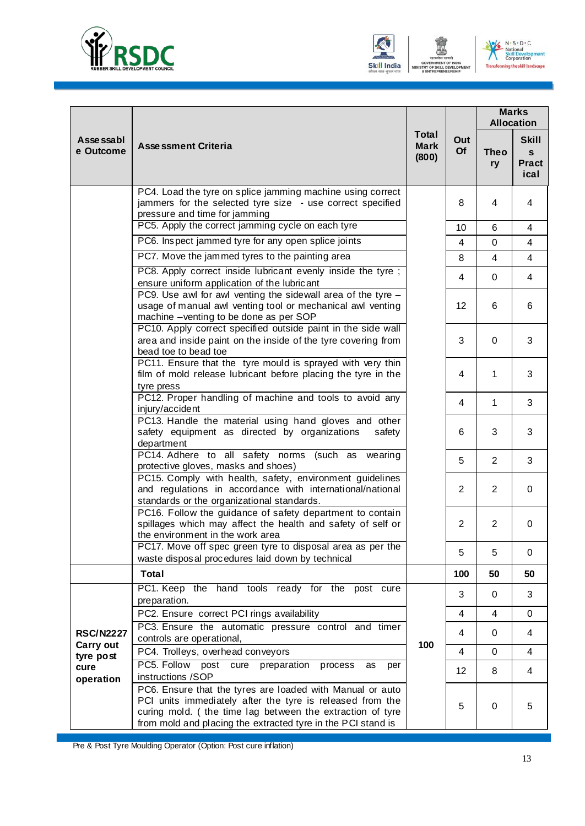





|                                |                                                                                                                                                                                                                                                     | <b>Total</b><br><b>Mark</b><br>(800) |                | <b>Marks</b><br><b>Allocation</b> |                                                      |
|--------------------------------|-----------------------------------------------------------------------------------------------------------------------------------------------------------------------------------------------------------------------------------------------------|--------------------------------------|----------------|-----------------------------------|------------------------------------------------------|
| Asse ssabl<br>e Outcome        | <b>Assessment Criteria</b>                                                                                                                                                                                                                          |                                      | Out<br>Of      | <b>Theo</b><br>ry                 | <b>Skill</b><br>$\mathbf{s}$<br><b>Pract</b><br>ical |
|                                | PC4. Load the tyre on splice jamming machine using correct<br>jammers for the selected tyre size - use correct specified<br>pressure and time for jamming                                                                                           |                                      | 8              | 4                                 | 4                                                    |
|                                | PC5. Apply the correct jamming cycle on each tyre                                                                                                                                                                                                   |                                      | 10             | 6                                 | 4                                                    |
|                                | PC6. Inspect jammed tyre for any open splice joints                                                                                                                                                                                                 |                                      | $\overline{4}$ | 0                                 | $\overline{4}$                                       |
|                                | PC7. Move the jammed tyres to the painting area                                                                                                                                                                                                     |                                      | 8              | $\overline{4}$                    | $\overline{4}$                                       |
|                                | PC8. Apply correct inside lubricant evenly inside the tyre;<br>ensure uniform application of the lubricant                                                                                                                                          |                                      | 4              | 0                                 | 4                                                    |
|                                | PC9. Use awl for awl venting the sidewall area of the tyre $-$<br>usage of manual awl venting tool or mechanical awl venting<br>machine -venting to be done as per SOP                                                                              |                                      | 12             | 6                                 | 6                                                    |
|                                | PC10. Apply correct specified outside paint in the side wall<br>area and inside paint on the inside of the tyre covering from<br>bead toe to bead toe                                                                                               |                                      | 3              | 0                                 | 3                                                    |
|                                | PC11. Ensure that the tyre mould is sprayed with very thin<br>film of mold release lubricant before placing the tyre in the<br>tyre press                                                                                                           |                                      | 4              | 1                                 | 3                                                    |
|                                | PC12. Proper handling of machine and tools to avoid any<br>injury/accident                                                                                                                                                                          |                                      | 4              | 1                                 | 3                                                    |
|                                | PC13. Handle the material using hand gloves and other<br>safety equipment as directed by organizations<br>safety<br>department                                                                                                                      |                                      | 6              | 3                                 | 3                                                    |
|                                | PC14. Adhere to all safety norms (such as<br>wearing<br>protective gloves, masks and shoes)                                                                                                                                                         |                                      | 5              | $\overline{2}$                    | 3                                                    |
|                                | PC15. Comply with health, safety, environment guidelines<br>and regulations in accordance with international/national<br>standards or the organizational standards.                                                                                 |                                      | $\overline{2}$ | $\overline{2}$                    | 0                                                    |
|                                | PC16. Follow the guidance of safety department to contain<br>spillages which may affect the health and safety of self or<br>the environment in the work area                                                                                        |                                      | $\overline{2}$ | $\overline{2}$                    | 0                                                    |
|                                | PC17. Move off spec green tyre to disposal area as per the<br>waste disposal procedures laid down by technical                                                                                                                                      |                                      | 5              | 5                                 | 0                                                    |
|                                | <b>Total</b>                                                                                                                                                                                                                                        |                                      | 100            | 50                                | 50                                                   |
|                                | PC1. Keep the hand tools ready for the post cure<br>preparation.                                                                                                                                                                                    |                                      | 3              | 0                                 | 3                                                    |
|                                | PC2. Ensure correct PCI rings availability                                                                                                                                                                                                          |                                      | 4              | 4                                 | 0                                                    |
| <b>RSC/N2227</b>               | PC3. Ensure the automatic pressure control and timer<br>controls are operational,                                                                                                                                                                   |                                      | 4              | 0                                 | 4                                                    |
| Carry out                      | PC4. Trolleys, overhead conveyors                                                                                                                                                                                                                   | 100                                  | 4              | 0                                 | 4                                                    |
| tyre post<br>cure<br>operation | PC5. Follow post cure<br>preparation<br>process<br>as<br>per<br>instructions /SOP                                                                                                                                                                   |                                      | 12             | 8                                 | 4                                                    |
|                                | PC6. Ensure that the tyres are loaded with Manual or auto<br>PCI units immediately after the tyre is released from the<br>curing mold. (the time lag between the extraction of tyre<br>from mold and placing the extracted tyre in the PCI stand is |                                      | 5              | 0                                 | 5                                                    |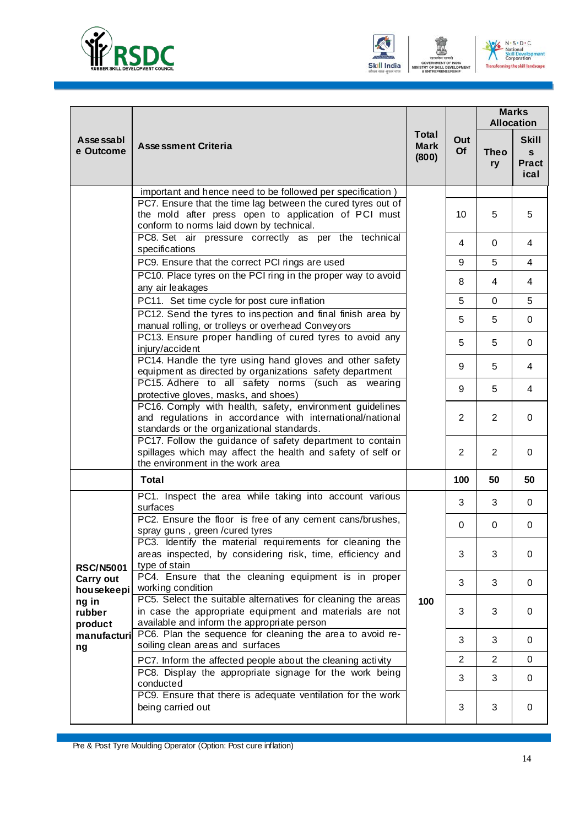





|                            |                                                                                                                                                                        |                                      |                |                   | <b>Marks</b><br><b>Allocation</b>                    |  |
|----------------------------|------------------------------------------------------------------------------------------------------------------------------------------------------------------------|--------------------------------------|----------------|-------------------|------------------------------------------------------|--|
| Asse ssabl<br>e Outcome    | <b>Assessment Criteria</b>                                                                                                                                             | <b>Total</b><br><b>Mark</b><br>(800) | Out<br>Of      | <b>Theo</b><br>ry | <b>Skill</b><br>$\mathbf{s}$<br><b>Pract</b><br>ical |  |
|                            | important and hence need to be followed per specification)                                                                                                             |                                      |                |                   |                                                      |  |
|                            | PC7. Ensure that the time lag between the cured tyres out of<br>the mold after press open to application of PCI must<br>conform to norms laid down by technical.       |                                      | 10             | 5                 | 5                                                    |  |
|                            | PC8. Set air pressure correctly as per the technical<br>specifications                                                                                                 |                                      | 4              | 0                 | 4                                                    |  |
|                            | PC9. Ensure that the correct PCI rings are used                                                                                                                        |                                      | 9              | 5                 | 4                                                    |  |
|                            | PC10. Place tyres on the PCI ring in the proper way to avoid<br>any air leakages                                                                                       |                                      | 8              | 4                 | 4                                                    |  |
|                            | PC11. Set time cycle for post cure inflation                                                                                                                           |                                      | 5              | $\Omega$          | 5                                                    |  |
|                            | PC12. Send the tyres to inspection and final finish area by<br>manual rolling, or trolleys or overhead Conveyors                                                       |                                      | 5              | 5                 | 0                                                    |  |
|                            | PC13. Ensure proper handling of cured tyres to avoid any<br>injury/accident                                                                                            |                                      | 5              | 5                 | 0                                                    |  |
|                            | PC14. Handle the tyre using hand gloves and other safety<br>equipment as directed by organizations safety department                                                   |                                      | 9              | 5                 | 4                                                    |  |
|                            | PC15. Adhere to all safety norms (such as wearing<br>protective gloves, masks, and shoes)                                                                              |                                      | 9              | 5                 | 4                                                    |  |
|                            | PC16. Comply with health, safety, environment guidelines<br>and regulations in accordance with international/national<br>standards or the organizational standards.    |                                      | 2              | $\overline{2}$    | 0                                                    |  |
|                            | PC17. Follow the guidance of safety department to contain<br>spillages which may affect the health and safety of self or<br>the environment in the work area           |                                      | $\overline{2}$ | $\overline{2}$    | $\mathbf 0$                                          |  |
|                            | <b>Total</b>                                                                                                                                                           |                                      | 100            | 50                | 50                                                   |  |
|                            | PC1. Inspect the area while taking into account various<br>surfaces                                                                                                    |                                      | 3              | 3                 | 0                                                    |  |
|                            | PC2. Ensure the floor is free of any cement cans/brushes,<br>spray guns, green / cured tyres                                                                           |                                      | $\mathbf{0}$   | 0                 | $\mathbf 0$                                          |  |
| <b>RSC/N5001</b>           | PC3. Identify the material requirements for cleaning the<br>areas inspected, by considering risk, time, efficiency and<br>type of stain                                |                                      | 3              | 3                 | $\mathbf 0$                                          |  |
| Carry out<br>housekeepi    | PC4. Ensure that the cleaning equipment is in proper<br>working condition                                                                                              |                                      | 3              | 3                 | 0                                                    |  |
| ng in<br>rubber<br>product | PC5. Select the suitable alternatives for cleaning the areas<br>in case the appropriate equipment and materials are not<br>available and inform the appropriate person | 100                                  | 3              | 3                 | $\mathbf 0$                                          |  |
| manufacturi<br>ng          | PC6. Plan the sequence for cleaning the area to avoid re-<br>soiling clean areas and surfaces                                                                          |                                      | 3              | 3                 | 0                                                    |  |
|                            | PC7. Inform the affected people about the cleaning activity                                                                                                            |                                      | 2              | $\overline{2}$    | 0                                                    |  |
|                            | PC8. Display the appropriate signage for the work being<br>conducted                                                                                                   |                                      | 3              | 3                 | $\mathbf 0$                                          |  |
|                            | PC9. Ensure that there is adequate ventilation for the work<br>being carried out                                                                                       |                                      | 3              | 3                 | 0                                                    |  |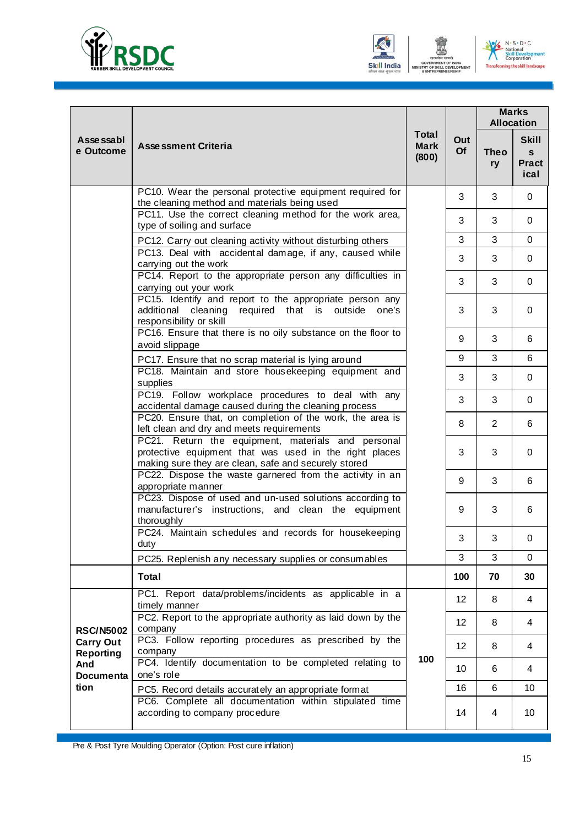





|                                      |                                                                                                                                                                          |                                      | Out<br>Of | <b>Marks</b><br><b>Allocation</b> |                                           |
|--------------------------------------|--------------------------------------------------------------------------------------------------------------------------------------------------------------------------|--------------------------------------|-----------|-----------------------------------|-------------------------------------------|
| Asse ssabl<br>e Outcome              | <b>Assessment Criteria</b>                                                                                                                                               | <b>Total</b><br><b>Mark</b><br>(800) |           | <b>Theo</b><br>ry                 | <b>Skill</b><br>s<br><b>Pract</b><br>ical |
|                                      | PC10. Wear the personal protective equipment required for<br>the cleaning method and materials being used                                                                |                                      | 3         | 3                                 | 0                                         |
|                                      | PC11. Use the correct cleaning method for the work area,<br>type of soiling and surface                                                                                  |                                      | 3         | 3                                 | 0                                         |
|                                      | PC12. Carry out cleaning activity without disturbing others<br>PC13. Deal with accidental damage, if any, caused while                                                   |                                      | 3<br>3    | 3<br>3                            | $\Omega$<br>$\mathbf 0$                   |
|                                      | carrying out the work<br>PC14. Report to the appropriate person any difficulties in                                                                                      |                                      | 3         | 3                                 | 0                                         |
|                                      | carrying out your work<br>PC15. Identify and report to the appropriate person any<br>additional cleaning<br>required that is outside<br>one's<br>responsibility or skill |                                      | 3         | 3                                 | $\Omega$                                  |
|                                      | PC16. Ensure that there is no oily substance on the floor to<br>avoid slippage                                                                                           |                                      | 9         | 3                                 | 6                                         |
|                                      | PC17. Ensure that no scrap material is lying around                                                                                                                      |                                      | 9         | 3                                 | 6                                         |
|                                      | PC18. Maintain and store housekeeping equipment and<br>supplies                                                                                                          |                                      | 3         | 3                                 | $\mathbf 0$                               |
|                                      | PC19. Follow workplace procedures to deal with any<br>accidental damage caused during the cleaning process                                                               |                                      | 3         | 3                                 | $\mathbf 0$                               |
|                                      | PC20. Ensure that, on completion of the work, the area is<br>left clean and dry and meets requirements                                                                   |                                      | 8         | $\overline{2}$                    | 6                                         |
|                                      | PC21. Return the equipment, materials and personal<br>protective equipment that was used in the right places<br>making sure they are clean, safe and securely stored     |                                      | 3         | 3                                 | 0                                         |
|                                      | PC22. Dispose the waste garnered from the activity in an<br>appropriate manner                                                                                           |                                      | 9         | 3                                 | 6                                         |
|                                      | PC23. Dispose of used and un-used solutions according to<br>manufacturer's instructions, and clean the equipment<br>thoroughly                                           |                                      | 9         | 3                                 | 6                                         |
|                                      | PC24. Maintain schedules and records for housekeeping<br>duty                                                                                                            |                                      | 3         | 3                                 | 0                                         |
|                                      | PC25. Replenish any necessary supplies or consumables                                                                                                                    |                                      | 3         | 3                                 | $\mathbf 0$                               |
|                                      | <b>Total</b>                                                                                                                                                             |                                      | 100       | 70                                | 30                                        |
|                                      | PC1. Report data/problems/incidents as applicable in a<br>timely manner                                                                                                  |                                      | 12        | 8                                 | 4                                         |
| <b>RSC/N5002</b>                     | PC2. Report to the appropriate authority as laid down by the<br>company                                                                                                  |                                      | 12        | 8                                 | 4                                         |
| <b>Carry Out</b><br><b>Reporting</b> | PC3. Follow reporting procedures as prescribed by the<br>company                                                                                                         |                                      | 12        | 8                                 | 4                                         |
| And<br><b>Documenta</b>              | PC4. Identify documentation to be completed relating to<br>one's role                                                                                                    | 100                                  | 10        | 6                                 | 4                                         |
| tion                                 | PC5. Record details accurately an appropriate format                                                                                                                     |                                      | 16        | 6                                 | 10                                        |
|                                      | PC6. Complete all documentation within stipulated time<br>according to company procedure                                                                                 |                                      | 14        | 4                                 | 10                                        |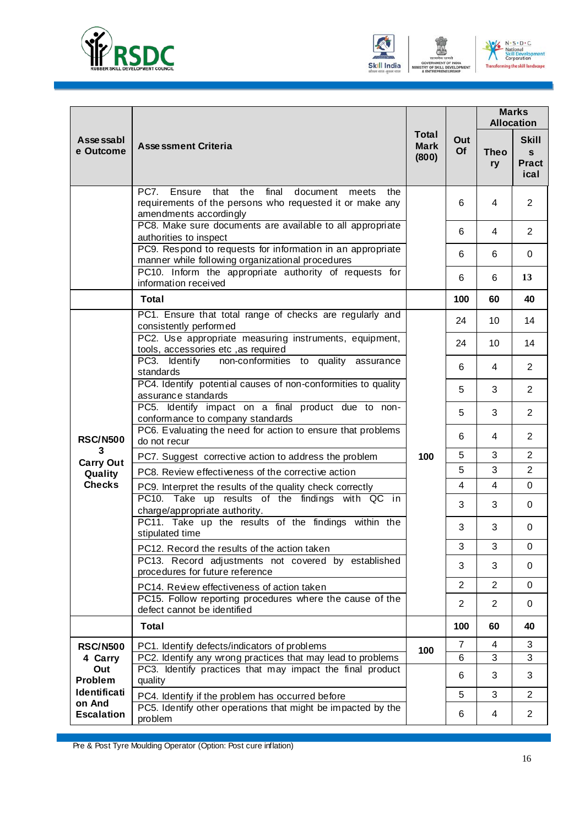





|                         |                                                                                                                                                              |                               |                | <b>Marks</b><br><b>Allocation</b> |                                           |
|-------------------------|--------------------------------------------------------------------------------------------------------------------------------------------------------------|-------------------------------|----------------|-----------------------------------|-------------------------------------------|
| Asse ssabl<br>e Outcome | <b>Assessment Criteria</b>                                                                                                                                   | Total<br><b>Mark</b><br>(800) | Out<br>Of      | <b>Theo</b><br>ry                 | <b>Skill</b><br>S<br><b>Pract</b><br>ical |
|                         | Ensure that<br>the<br>final<br><b>PC7.</b><br>document<br>meets<br>the<br>requirements of the persons who requested it or make any<br>amendments accordingly |                               | 6              | 4                                 | $\overline{2}$                            |
|                         | PC8. Make sure documents are available to all appropriate<br>authorities to inspect                                                                          |                               | 6              | 4                                 | $\overline{2}$                            |
|                         | PC9. Respond to requests for information in an appropriate<br>manner while following organizational procedures                                               |                               | 6              | 6                                 | 0                                         |
|                         | PC10. Inform the appropriate authority of requests for<br>information received                                                                               |                               | 6              | 6                                 | 13                                        |
|                         | <b>Total</b>                                                                                                                                                 |                               | 100            | 60                                | 40                                        |
|                         | PC1. Ensure that total range of checks are regularly and<br>consistently performed                                                                           |                               | 24             | 10                                | 14                                        |
|                         | PC2. Use appropriate measuring instruments, equipment,<br>tools, accessories etc , as required                                                               | 100                           | 24             | 10                                | 14                                        |
|                         | PC3. Identify<br>non-conformities to quality assurance<br>standards                                                                                          |                               | 6              | 4                                 | $\overline{2}$                            |
|                         | PC4. Identify potential causes of non-conformities to quality<br>assurance standards                                                                         |                               | 5              | 3                                 | $\overline{2}$                            |
|                         | PC5. Identify impact on a final product due to non-<br>conformance to company standards                                                                      |                               | 5              | 3                                 | $\overline{2}$                            |
| <b>RSC/N500</b>         | PC6. Evaluating the need for action to ensure that problems<br>do not recur                                                                                  |                               | 6              | 4                                 | $\overline{2}$                            |
| 3<br><b>Carry Out</b>   | PC7. Suggest corrective action to address the problem                                                                                                        |                               | 5              | 3                                 | $\overline{2}$                            |
| Quality                 | PC8. Review effectiveness of the corrective action                                                                                                           |                               | 5              | 3                                 | $\overline{2}$                            |
| <b>Checks</b>           | PC9. Interpret the results of the quality check correctly<br>PC10. Take up results of the findings with QC in                                                |                               | 4<br>3         | $\overline{4}$<br>3               | $\Omega$<br>0                             |
|                         | charge/appropriate authority.<br>PC11. Take up the results of the findings within the<br>stipulated time                                                     |                               | 3              | 3                                 | 0                                         |
|                         | PC12. Record the results of the action taken                                                                                                                 |                               | 3              | 3                                 | 0                                         |
|                         | PC13. Record adjustments not covered by established<br>procedures for future reference                                                                       |                               | 3              | 3                                 | 0                                         |
|                         | PC14. Review effectiveness of action taken                                                                                                                   |                               | $\overline{2}$ | $\overline{2}$                    | 0                                         |
|                         | PC15. Follow reporting procedures where the cause of the<br>defect cannot be identified                                                                      |                               | 2              | $\overline{2}$                    | 0                                         |
|                         | <b>Total</b>                                                                                                                                                 |                               | 100            | 60                                | 40                                        |
| <b>RSC/N500</b>         | PC1. Identify defects/indicators of problems                                                                                                                 | 100                           | $\overline{7}$ | 4                                 | 3                                         |
| 4 Carry<br>Out          | PC2. Identify any wrong practices that may lead to problems<br>PC3. Identify practices that may impact the final product                                     |                               | 6              | 3                                 | 3                                         |
| Problem                 | quality                                                                                                                                                      |                               | 6              | 3                                 | 3                                         |
| Identificati<br>on And  | PC4. Identify if the problem has occurred before                                                                                                             |                               | 5              | 3                                 | $\overline{2}$                            |
| <b>Escalation</b>       | PC5. Identify other operations that might be impacted by the<br>problem                                                                                      |                               | 6              | 4                                 | $\overline{2}$                            |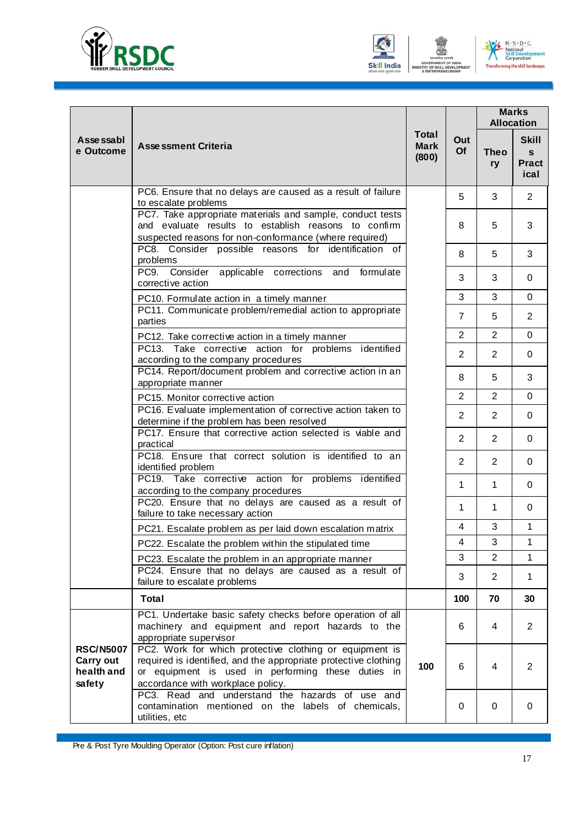





|                                                       |                                                                                                                                                                                                                       |                                      | Out<br>Of      | <b>Marks</b><br><b>Allocation</b> |                                           |
|-------------------------------------------------------|-----------------------------------------------------------------------------------------------------------------------------------------------------------------------------------------------------------------------|--------------------------------------|----------------|-----------------------------------|-------------------------------------------|
| Asse ssabl<br>e Outcome                               | <b>Assessment Criteria</b>                                                                                                                                                                                            | <b>Total</b><br><b>Mark</b><br>(800) |                | <b>Theo</b><br>ry                 | <b>Skill</b><br>S<br><b>Pract</b><br>ical |
|                                                       | PC6. Ensure that no delays are caused as a result of failure<br>to escalate problems                                                                                                                                  |                                      | 5              | 3                                 | $\overline{2}$                            |
|                                                       | PC7. Take appropriate materials and sample, conduct tests<br>and evaluate results to establish reasons to confirm<br>suspected reasons for non-conformance (where required)                                           |                                      | 8              | 5                                 | 3                                         |
|                                                       | PC8. Consider possible reasons for identification of<br>problems                                                                                                                                                      |                                      | 8              | 5                                 | 3                                         |
|                                                       | PC9. Consider applicable corrections and formulate<br>corrective action                                                                                                                                               |                                      | 3              | 3                                 | 0                                         |
|                                                       | PC10. Formulate action in a timely manner                                                                                                                                                                             |                                      | 3              | 3                                 | $\mathbf 0$                               |
|                                                       | PC11. Communicate problem/remedial action to appropriate<br>parties                                                                                                                                                   |                                      | $\overline{7}$ | 5                                 | $\overline{2}$                            |
|                                                       | PC12. Take corrective action in a timely manner                                                                                                                                                                       |                                      | $\overline{2}$ | $\overline{2}$                    | 0                                         |
|                                                       | PC13. Take corrective action for problems identified<br>according to the company procedures                                                                                                                           |                                      | $\overline{2}$ | $\overline{2}$                    | $\mathbf 0$                               |
|                                                       | PC14. Report/document problem and corrective action in an<br>appropriate manner                                                                                                                                       |                                      | 8              | 5                                 | 3                                         |
|                                                       | PC15. Monitor corrective action                                                                                                                                                                                       |                                      | $\overline{2}$ | $\overline{2}$                    | $\mathbf 0$                               |
|                                                       | PC16. Evaluate implementation of corrective action taken to<br>determine if the problem has been resolved                                                                                                             |                                      | $\overline{2}$ | 2                                 | 0                                         |
|                                                       | PC17. Ensure that corrective action selected is viable and<br>practical                                                                                                                                               |                                      | $\overline{2}$ | 2                                 | 0                                         |
|                                                       | PC18. Ensure that correct solution is identified to an<br>identified problem                                                                                                                                          |                                      | $\overline{2}$ | $\overline{2}$                    | 0                                         |
|                                                       | PC19. Take corrective action for problems identified<br>according to the company procedures                                                                                                                           |                                      | $\mathbf{1}$   | 1                                 | 0                                         |
|                                                       | PC20. Ensure that no delays are caused as a result of<br>failure to take necessary action                                                                                                                             |                                      | $\mathbf{1}$   | $\mathbf 1$                       | 0                                         |
|                                                       | PC21. Escalate problem as per laid down escalation matrix                                                                                                                                                             |                                      | 4              | 3                                 | $\mathbf{1}$                              |
|                                                       | PC22. Escalate the problem within the stipulated time                                                                                                                                                                 |                                      | 4              | 3                                 | $\mathbf{1}$                              |
|                                                       | PC23. Escalate the problem in an appropriate manner                                                                                                                                                                   |                                      | 3              | $\overline{2}$                    | 1                                         |
|                                                       | PC24. Ensure that no delays are caused as a result of<br>failure to escalate problems                                                                                                                                 |                                      | 3              | $\overline{2}$                    | 1                                         |
|                                                       | <b>Total</b>                                                                                                                                                                                                          |                                      | 100            | 70                                | 30                                        |
|                                                       | PC1. Undertake basic safety checks before operation of all<br>machinery and equipment and report hazards to the<br>appropriate supervisor                                                                             |                                      | 6              | 4                                 | $\overline{2}$                            |
| <b>RSC/N5007</b><br>Carry out<br>health and<br>safety | PC2. Work for which protective clothing or equipment is<br>required is identified, and the appropriate protective clothing<br>or equipment is used in performing these duties in<br>accordance with workplace policy. | 100                                  | 6              | 4                                 | $\overline{2}$                            |
|                                                       | PC3. Read and understand the hazards of use and<br>contamination mentioned on the labels of chemicals,<br>utilities, etc                                                                                              |                                      | 0              | $\mathbf 0$                       | 0                                         |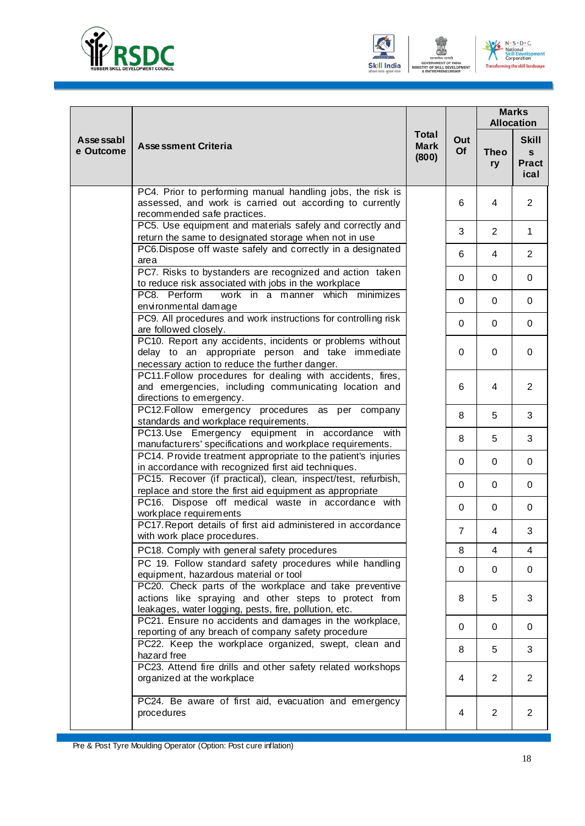





|                         |                                                                                                                                                                          |                                      |                | <b>Marks</b><br><b>Allocation</b> |                                           |
|-------------------------|--------------------------------------------------------------------------------------------------------------------------------------------------------------------------|--------------------------------------|----------------|-----------------------------------|-------------------------------------------|
| Asse ssabl<br>e Outcome | <b>Assessment Criteria</b>                                                                                                                                               | <b>Total</b><br><b>Mark</b><br>(800) | Out<br>Of      | <b>Theo</b><br>ry                 | <b>Skill</b><br>S<br><b>Pract</b><br>ical |
|                         | PC4. Prior to performing manual handling jobs, the risk is<br>assessed, and work is carried out according to currently<br>recommended safe practices.                    |                                      | 6              | 4                                 | $\overline{2}$                            |
|                         | PC5. Use equipment and materials safely and correctly and<br>return the same to designated storage when not in use                                                       |                                      | 3              | 2                                 | $\mathbf 1$                               |
|                         | PC6. Dispose off waste safely and correctly in a designated<br>area                                                                                                      |                                      | 6              | 4                                 | $\overline{2}$                            |
|                         | PC7. Risks to bystanders are recognized and action taken<br>to reduce risk associated with jobs in the workplace                                                         |                                      | $\Omega$       | 0                                 | 0                                         |
|                         | PC8. Perform<br>work in a manner which minimizes<br>environmental damage                                                                                                 |                                      | $\Omega$       | 0                                 | 0                                         |
|                         | PC9. All procedures and work instructions for controlling risk<br>are followed closely.                                                                                  |                                      | 0              | 0                                 | 0                                         |
|                         | PC10. Report any accidents, incidents or problems without<br>delay to an appropriate person and take immediate<br>necessary action to reduce the further danger.         |                                      | 0              | 0                                 | $\mathbf 0$                               |
|                         | PC11. Follow procedures for dealing with accidents, fires,<br>and emergencies, including communicating location and<br>directions to emergency.                          |                                      | 6              | 4                                 | $\overline{2}$                            |
|                         | PC12.Follow emergency procedures as per company<br>standards and workplace requirements.                                                                                 |                                      | 8              | 5                                 | 3                                         |
|                         | PC13.Use Emergency equipment in accordance with<br>manufacturers' specifications and workplace requirements.                                                             |                                      | 8              | 5                                 | 3                                         |
|                         | PC14. Provide treatment appropriate to the patient's injuries<br>in accordance with recognized first aid techniques.                                                     |                                      | $\Omega$       | 0                                 | $\mathbf 0$                               |
|                         | PC15. Recover (if practical), clean, inspect/test, refurbish,<br>replace and store the first aid equipment as appropriate                                                |                                      | $\Omega$       | 0                                 | 0                                         |
|                         | PC16. Dispose off medical waste in accordance with<br>work place requirements                                                                                            |                                      | $\Omega$       | 0                                 | 0                                         |
|                         | PC17. Report details of first aid administered in accordance<br>with work place procedures.                                                                              |                                      | $\overline{7}$ | 4                                 | 3                                         |
|                         | PC18. Comply with general safety procedures                                                                                                                              |                                      | 8              | 4                                 | 4                                         |
|                         | PC 19. Follow standard safety procedures while handling<br>equipment, hazardous material or tool                                                                         |                                      | 0              | $\mathbf 0$                       | $\mathbf 0$                               |
|                         | PC20. Check parts of the workplace and take preventive<br>actions like spraying and other steps to protect from<br>leakages, water logging, pests, fire, pollution, etc. |                                      | 8              | 5                                 | 3                                         |
|                         | PC21. Ensure no accidents and damages in the workplace,<br>reporting of any breach of company safety procedure                                                           |                                      | $\Omega$       | 0                                 | 0                                         |
|                         | PC22. Keep the workplace organized, swept, clean and<br>hazard free                                                                                                      |                                      | 8              | 5                                 | 3                                         |
|                         | PC23. Attend fire drills and other safety related workshops<br>organized at the workplace                                                                                |                                      | 4              | $\overline{2}$                    | $\overline{2}$                            |
|                         | PC24. Be aware of first aid, evacuation and emergency<br>procedures                                                                                                      |                                      | 4              | $\overline{2}$                    | $\overline{2}$                            |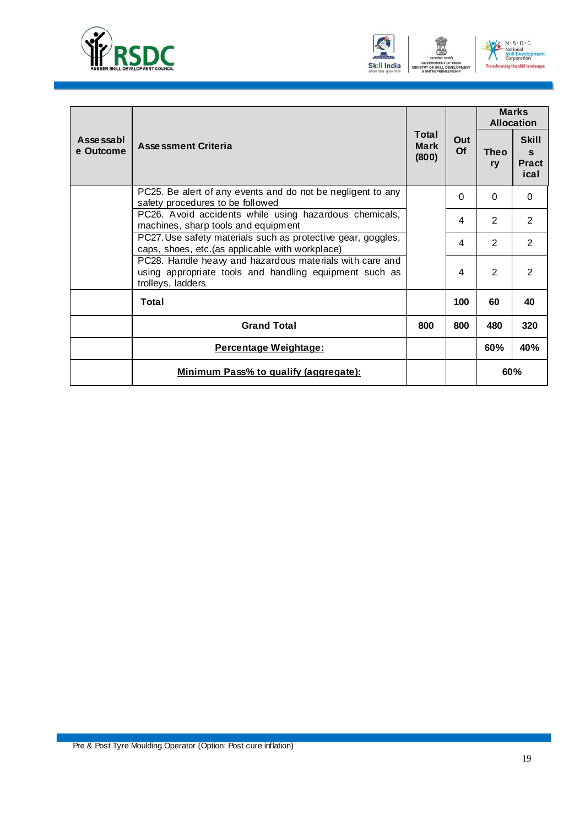





|                         |                                                                                                                                         |                               | Out<br>Of | <b>Marks</b><br><b>Allocation</b> |                                                      |
|-------------------------|-----------------------------------------------------------------------------------------------------------------------------------------|-------------------------------|-----------|-----------------------------------|------------------------------------------------------|
| Asse ssabl<br>e Outcome | <b>Assessment Criteria</b>                                                                                                              | Total<br><b>Mark</b><br>(800) |           | Theo<br>ry                        | <b>Skill</b><br>$\mathbf{s}$<br><b>Pract</b><br>ical |
|                         | PC25. Be alert of any events and do not be negligent to any<br>safety procedures to be followed                                         |                               | 0         | $\Omega$                          | $\Omega$                                             |
|                         | PC26. Avoid accidents while using hazardous chemicals,<br>machines, sharp tools and equipment                                           |                               | 4         | $\overline{2}$                    | 2                                                    |
|                         | PC27. Use safety materials such as protective gear, goggles,<br>caps, shoes, etc. (as applicable with workplace)                        |                               | 4         | $\overline{2}$                    | 2                                                    |
|                         | PC28. Handle heavy and hazardous materials with care and<br>using appropriate tools and handling equipment such as<br>trolleys, ladders |                               | 4         | $\mathcal{P}$                     | $\mathfrak{p}$                                       |
|                         | Total                                                                                                                                   |                               | 100       | 60                                | 40                                                   |
|                         | <b>Grand Total</b>                                                                                                                      | 800                           | 800       | 480                               | 320                                                  |
|                         | Percentage Weightage:                                                                                                                   |                               |           | 60%                               | 40%                                                  |
|                         | Minimum Pass% to qualify (aggregate):                                                                                                   |                               |           | 60%                               |                                                      |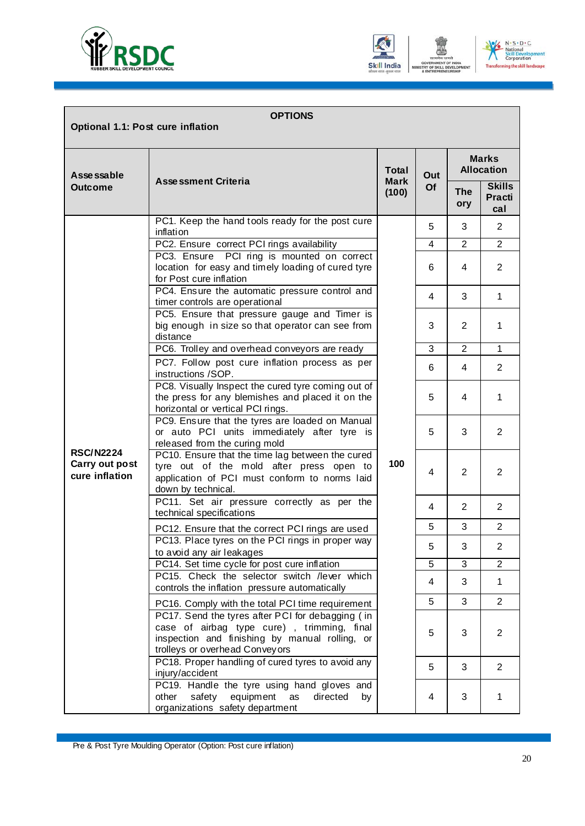





| <b>OPTIONS</b><br>Optional 1.1: Post cure inflation  |                                                                                                                                                                                    |                      |     |                   |                                       |  |
|------------------------------------------------------|------------------------------------------------------------------------------------------------------------------------------------------------------------------------------------|----------------------|-----|-------------------|---------------------------------------|--|
| Asse ssable                                          |                                                                                                                                                                                    | <b>Total</b>         | Out |                   | <b>Marks</b><br><b>Allocation</b>     |  |
| <b>Outcome</b>                                       | <b>Assessment Criteria</b>                                                                                                                                                         | <b>Mark</b><br>(100) | Of  | <b>The</b><br>ory | <b>Skills</b><br><b>Practi</b><br>cal |  |
|                                                      | PC1. Keep the hand tools ready for the post cure<br>inflation                                                                                                                      |                      | 5   | 3                 | $\overline{2}$                        |  |
|                                                      | PC2. Ensure correct PCI rings availability                                                                                                                                         |                      | 4   | $\mathfrak{p}$    | $\overline{2}$                        |  |
|                                                      | PC3. Ensure PCI ring is mounted on correct<br>location for easy and timely loading of cured tyre<br>for Post cure inflation                                                        |                      | 6   | 4                 | $\overline{2}$                        |  |
|                                                      | PC4. Ensure the automatic pressure control and<br>timer controls are operational                                                                                                   |                      | 4   | 3                 | $\mathbf{1}$                          |  |
|                                                      | PC5. Ensure that pressure gauge and Timer is<br>big enough in size so that operator can see from<br>distance                                                                       |                      | 3   | 2                 | $\mathbf{1}$                          |  |
|                                                      | PC6. Trolley and overhead conveyors are ready                                                                                                                                      | 100                  | 3   | 2                 | 1                                     |  |
|                                                      | PC7. Follow post cure inflation process as per<br>instructions /SOP.                                                                                                               |                      | 6   | 4                 | $\overline{2}$                        |  |
|                                                      | PC8. Visually Inspect the cured tyre coming out of<br>the press for any blemishes and placed it on the<br>horizontal or vertical PCI rings.                                        |                      | 5   | 4                 | 1                                     |  |
|                                                      | PC9. Ensure that the tyres are loaded on Manual<br>or auto PCI units immediately after tyre is<br>released from the curing mold                                                    |                      | 5   | 3                 | $\overline{2}$                        |  |
| <b>RSC/N2224</b><br>Carry out post<br>cure inflation | PC10. Ensure that the time lag between the cured<br>tyre out of the mold after press open to<br>application of PCI must conform to norms laid<br>down by technical.                |                      | 4   | 2                 | $\overline{2}$                        |  |
|                                                      | PC11. Set air pressure correctly as per the<br>technical specifications                                                                                                            |                      | 4   | 2                 | $\overline{2}$                        |  |
|                                                      | PC12. Ensure that the correct PCI rings are used                                                                                                                                   |                      | 5   | 3                 | $\overline{2}$                        |  |
|                                                      | PC13. Place tyres on the PCI rings in proper way<br>to avoid any air leakages                                                                                                      |                      | 5   | 3                 | 2                                     |  |
|                                                      | PC14. Set time cycle for post cure inflation                                                                                                                                       |                      | 5   | $\mathbf{3}$      | $\overline{2}$                        |  |
|                                                      | PC15. Check the selector switch /lever which<br>controls the inflation pressure automatically                                                                                      |                      | 4   | 3                 | $\mathbf{1}$                          |  |
|                                                      | PC16. Comply with the total PCI time requirement                                                                                                                                   |                      | 5   | 3                 | $\overline{2}$                        |  |
|                                                      | PC17. Send the tyres after PCI for debagging (in<br>case of airbag type cure), trimming, final<br>inspection and finishing by manual rolling, or<br>trolleys or overhead Conveyors |                      | 5   | 3                 | $\overline{2}$                        |  |
|                                                      | PC18. Proper handling of cured tyres to avoid any<br>injury/accident                                                                                                               |                      | 5   | 3                 | $\overline{2}$                        |  |
|                                                      | PC19. Handle the tyre using hand gloves and<br>safety<br>equipment<br>other<br>as<br>directed<br>by<br>organizations safety department                                             |                      | 4   | 3                 | $\mathbf{1}$                          |  |